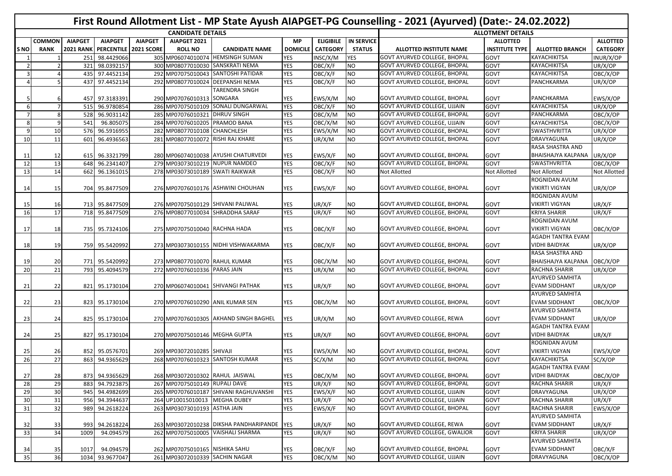|                          |                |                  |                         |                |                                   |                                        |                 |                  |                        | First Round Allotment List - MP State Ayush AIAPGET-PG Counselling - 2021 (Ayurved) (Date:- 24.02.2022) |                          |                          |                 |
|--------------------------|----------------|------------------|-------------------------|----------------|-----------------------------------|----------------------------------------|-----------------|------------------|------------------------|---------------------------------------------------------------------------------------------------------|--------------------------|--------------------------|-----------------|
|                          |                |                  |                         |                | <b>CANDIDATE DETAILS</b>          |                                        |                 |                  |                        |                                                                                                         | <b>ALLOTMENT DETAILS</b> |                          |                 |
|                          | <b>COMMON</b>  | <b>AIAPGET</b>   | <b>AIAPGET</b>          | <b>AIAPGET</b> | AIAPGET 2021                      |                                        | <b>MP</b>       | <b>ELIGIBILE</b> | <b>IN SERVICE</b>      |                                                                                                         | <b>ALLOTTED</b>          |                          | <b>ALLOTTED</b> |
| S NO                     | <b>RANK</b>    | <b>2021 RANK</b> | PERCENTILE   2021 SCORE |                | <b>ROLL NO</b>                    | <b>CANDIDATE NAME</b>                  | <b>DOMICILE</b> | <b>CATEGORY</b>  | <b>STATUS</b>          | ALLOTTED INSTITUTE NAME                                                                                 | <b>INSTITUTE TYPE</b>    | <b>ALLOTTED BRANCH</b>   | <b>CATEGORY</b> |
|                          |                | 251              | 98.4429066              |                |                                   | 305 MP06074010074 HEMSINGH SUMAN       | <b>YES</b>      | INSC/X/M         | YES                    | <b>GOVT AYURVED COLLEGE, BHOPAL</b>                                                                     | <b>GOVT</b>              | <b>KAYACHIKITSA</b>      | INUR/X/OP       |
| $\overline{\phantom{a}}$ | $\overline{2}$ | 321              | 98.0392157              |                |                                   | 300 MP08077010030 SANSKRATI NEMA       | YES             | OBC/X/F          | <b>NO</b>              | <b>GOVT AYURVED COLLEGE, BHOPAL</b>                                                                     | <b>GOVT</b>              | <b>KAYACHIKITSA</b>      | UR/X/OP         |
| 3                        |                | 435              | 97.4452134              |                |                                   | 292 MP07075010043 SANTOSHI PATIDAR     | <b>YES</b>      | OBC/X/F          | <b>NO</b>              | <b>GOVT AYURVED COLLEGE, BHOPAL</b>                                                                     | <b>GOVT</b>              | <b>KAYACHIKITSA</b>      | OBC/X/OP        |
| $\overline{4}$           | 5              |                  | 437 97.4452134          |                |                                   | 292 MP08077010024 DEEPANSHI NEMA       | <b>YES</b>      | OBC/X/F          | <b>NO</b>              | <b>GOVT AYURVED COLLEGE, BHOPAL</b>                                                                     | <b>GOVT</b>              | PANCHKARMA               | UR/X/OP         |
|                          |                |                  |                         |                |                                   | <b>TARENDRA SINGH</b>                  |                 |                  |                        |                                                                                                         |                          |                          |                 |
|                          |                |                  | 457 97.3183391          |                | 290 MP07076010313 SONGARA         |                                        | YES             | EWS/X/M          | <b>NO</b>              | <b>GOVT AYURVED COLLEGE, BHOPAL</b>                                                                     | <b>GOVT</b>              | <b>PANCHKARMA</b>        | EWS/X/OP        |
| -6                       | $\overline{7}$ |                  | 515 96.9780854          |                |                                   | 286 MP07075010109 SONALI DUNGARWAL     | <b>YES</b>      | OBC/X/F          | <b>NO</b>              | <b>GOVT AYURVED COLLEGE, UJJAIN</b>                                                                     | <b>GOVT</b>              | <b>KAYACHIKITSA</b>      | UR/X/OP         |
|                          | 8              | 528              | 96.9031142              |                | 285 MP07076010321 DHRUV SINGH     |                                        | <b>YES</b>      | OBC/X/M          | <b>NO</b>              | <b>GOVT AYURVED COLLEGE, BHOPAL</b>                                                                     | GOVT                     | PANCHKARMA               | OBC/X/OP        |
| 8                        | 9              | 541              | 96.805075               |                | 284 MP07076010205 PRAMOD BANA     |                                        | <b>YES</b>      | OBC/X/M          | <b>NO</b>              | <b>GOVT AYURVED COLLEGE, UJJAIN</b>                                                                     | <b>GOVT</b>              | <b>KAYACHIKITSA</b>      | OBC/X/OP        |
| -9                       | 10             |                  | 576 96.5916955          |                | 282 MP08077010108 CHANCHLESH      |                                        | <b>YES</b>      | EWS/X/M          | <b>NO</b>              | <b>GOVT AYURVED COLLEGE, BHOPAL</b>                                                                     | GOVT                     | <b>SWASTHVRITTA</b>      | UR/X/OP         |
| 10                       | 11             |                  | 601 96.4936563          |                | 281 MP08077010072 RISHI RAJ KHARE |                                        | <b>YES</b>      | UR/X/M           | <b>NO</b>              | GOVT AYURVED COLLEGE, BHOPAL                                                                            | GOVT                     | DRAVYAGUNA               | UR/X/OP         |
|                          |                |                  |                         |                |                                   |                                        |                 |                  |                        |                                                                                                         |                          | RASA SHASTRA AND         |                 |
| 11                       | 12             |                  | 615 96.3321799          |                |                                   | 280 MP06074010038 AYUSHI CHATURVEDI    | YES             | EWS/X/F          | <b>NO</b>              | <b>GOVT AYURVED COLLEGE, BHOPAL</b>                                                                     | <b>GOVT</b>              | BHAISHAJYA KALPANA       | UR/X/OP         |
| 12                       | 13             |                  | 648 96.2341407          |                |                                   | 279 MP03073010219 NUPUR NAMDEO         | <b>YES</b>      | OBC/X/F          | <b>NO</b>              | <b>GOVT AYURVED COLLEGE, BHOPAL</b>                                                                     | GOVT                     | SWASTHVRITTA             | OBC/X/OP        |
| 13                       | 14             |                  | 662 96.1361015          |                | 278 MP03073010189 SWATI RAIKWAR   |                                        | <b>YES</b>      | OBC/X/F          | <b>NO</b>              | <b>Not Allotted</b>                                                                                     | <b>Not Allotted</b>      | <b>Not Allotted</b>      | Not Allotted    |
|                          |                |                  |                         |                |                                   |                                        |                 |                  |                        |                                                                                                         |                          | ROGNIDAN AVUM            |                 |
| 14                       | 15             |                  | 704 95.8477509          |                |                                   | 276 MP07076010176 ASHWINI CHOUHAN      | YES             | EWS/X/F          | <b>NO</b>              | <b>GOVT AYURVED COLLEGE, BHOPAL</b>                                                                     | <b>GOVT</b>              | <b>VIKIRTI VIGYAN</b>    | UR/X/OP         |
|                          |                |                  |                         |                |                                   |                                        |                 |                  |                        |                                                                                                         |                          | ROGNIDAN AVUM            |                 |
|                          |                |                  |                         |                |                                   |                                        |                 |                  |                        |                                                                                                         |                          |                          |                 |
| 15                       | 16             |                  | 713 95.8477509          |                |                                   | 276 MP07075010129 SHIVANI PALIWAL      | YES             | UR/X/F           | <b>NO</b><br><b>NO</b> | <b>GOVT AYURVED COLLEGE, BHOPAL</b><br><b>GOVT AYURVED COLLEGE. BHOPAL</b>                              | <b>GOVT</b>              | <b>VIKIRTI VIGYAN</b>    | UR/X/F          |
| 16                       | 17             |                  | 718 95.8477509          |                |                                   | 276 MP08077010034 SHRADDHA SARAF       | <b>YES</b>      | UR/X/F           |                        |                                                                                                         | GOVT                     | <b>KRIYA SHARIR</b>      | UR/X/F          |
|                          |                |                  |                         |                |                                   |                                        |                 |                  |                        |                                                                                                         |                          | ROGNIDAN AVUM            |                 |
| 17                       | 18             |                  | 735 95.7324106          |                | 275 MP07075010040 RACHNA HADA     |                                        | YES             | OBC/X/F          | <b>NO</b>              | <b>GOVT AYURVED COLLEGE, BHOPAL</b>                                                                     | GOVT                     | <b>VIKIRTI VIGYAN</b>    | OBC/X/OP        |
|                          |                |                  |                         |                |                                   |                                        |                 |                  |                        |                                                                                                         |                          | AGADH TANTRA EVAM        |                 |
| 18                       | 19             |                  | 759 95.5420992          |                |                                   | 273 MP03073010155 NIDHI VISHWAKARMA    | YES             | OBC/X/F          | <b>NO</b>              | <b>GOVT AYURVED COLLEGE, BHOPAL</b>                                                                     | <b>GOVT</b>              | <b>VIDHI BAIDYAK</b>     | UR/X/OP         |
|                          |                |                  |                         |                |                                   |                                        |                 |                  |                        |                                                                                                         |                          | RASA SHASTRA AND         |                 |
| 19                       | 20             |                  | 771 95.5420992          |                | 273 MP08077010070 RAHUL KUMAR     |                                        | YES             | OBC/X/M          | <b>NO</b>              | <b>GOVT AYURVED COLLEGE, BHOPAL</b>                                                                     | <b>GOVT</b>              | BHAISHAJYA KALPANA       | OBC/X/OP        |
| 20                       | 21             |                  | 793 95.4094579          |                | 272 MP07076010336 PARAS JAIN      |                                        | <b>YES</b>      | UR/X/M           | <b>NO</b>              | <b>GOVT AYURVED COLLEGE, BHOPAL</b>                                                                     | GOVT                     | <b>RACHNA SHARIR</b>     | UR/X/OP         |
|                          |                |                  |                         |                |                                   |                                        |                 |                  |                        |                                                                                                         |                          | <b>AYURVED SAMHITA</b>   |                 |
| 21                       | 22             |                  | 821 95.1730104          |                |                                   | 270 MP06074010041 SHIVANGI PATHAK      | YES             | UR/X/F           | <b>NO</b>              | <b>GOVT AYURVED COLLEGE, BHOPAL</b>                                                                     | <b>GOVT</b>              | <b>EVAM SIDDHANT</b>     | UR/X/OP         |
|                          |                |                  |                         |                |                                   |                                        |                 |                  |                        |                                                                                                         |                          | <b>AYURVED SAMHITA</b>   |                 |
| 22                       | 23             |                  | 823 95.1730104          |                |                                   | 270 MP07076010290 ANIL KUMAR SEN       | YES             | OBC/X/M          | <b>NO</b>              | <b>GOVT AYURVED COLLEGE, BHOPAL</b>                                                                     | <b>GOVT</b>              | <b>EVAM SIDDHANT</b>     | OBC/X/OP        |
|                          |                |                  |                         |                |                                   |                                        |                 |                  |                        |                                                                                                         |                          | <b>AYURVED SAMHITA</b>   |                 |
| 23                       | 24             |                  | 825 95.1730104          |                |                                   | 270 MP07076010305 AKHAND SINGH BAGHEL  | YES             | UR/X/M           | <b>NO</b>              | <b>GOVT AYURVED COLLEGE, REWA</b>                                                                       | <b>GOVT</b>              | <b>EVAM SIDDHANT</b>     | UR/X/OP         |
|                          |                |                  |                         |                |                                   |                                        |                 |                  |                        |                                                                                                         |                          | <b>AGADH TANTRA EVAM</b> |                 |
| 24                       | 25             |                  | 827 95.1730104          |                | 270 MP07075010146 MEGHA GUPTA     |                                        | YES             | UR/X/F           | <b>NO</b>              | <b>GOVT AYURVED COLLEGE, BHOPAL</b>                                                                     | <b>GOVT</b>              | <b>VIDHI BAIDYAK</b>     | UR/X/F          |
|                          |                |                  |                         |                |                                   |                                        |                 |                  |                        |                                                                                                         |                          | ROGNIDAN AVUM            |                 |
| 25                       | 26             |                  | 852 95.0576701          |                | 269 MP03072010285 SHIVAJI         |                                        | YES             | EWS/X/M          | <b>NO</b>              | <b>GOVT AYURVED COLLEGE, BHOPAL</b>                                                                     | GOVT                     | <b>VIKIRTI VIGYAN</b>    | EWS/X/OP        |
| 26                       | 27             |                  | 863 94.9365629          |                |                                   | 268 MP07076010323 SANTOSH KUMAR        | <b>YES</b>      | SC/X/M           | <b>NO</b>              | <b>GOVT AYURVED COLLEGE, BHOPAL</b>                                                                     | <b>GOVT</b>              | <b>KAYACHIKITSA</b>      | SC/X/OP         |
|                          |                |                  |                         |                |                                   |                                        |                 |                  |                        |                                                                                                         |                          | <b>AGADH TANTRA EVAM</b> |                 |
| 27                       | 28             |                  | 873 94.9365629          |                | 268 MP03072010302 RAHUL JAISWAL   |                                        | <b>YES</b>      | OBC/X/M          | <b>NO</b>              | GOVT AYURVED COLLEGE, BHOPAL                                                                            | GOVT                     | <b>VIDHI BAIDYAK</b>     | OBC/X/OP        |
| 28                       | 29             |                  | 883 94.7923875          |                | 267 MP07075010149 RUPALI DAVE     |                                        | <b>YES</b>      | UR/X/F           | <b>NO</b>              | <b>GOVT AYURVED COLLEGE, BHOPAL</b>                                                                     | GOVT                     | <b>RACHNA SHARIR</b>     | UR/X/F          |
| 29                       | 30             |                  | 945 94.4982699          |                |                                   | 265 MP07076010187 SHIVANI RAGHUVANSHI  | <b>YES</b>      | EWS/X/F          | <b>NO</b>              | GOVT AYURVED COLLEGE, UJJAIN                                                                            | GOVT                     | <b>DRAVYAGUNA</b>        | UR/X/OP         |
| 30                       | 31             |                  | 956 94.3944637          |                | 264 UP10015010013 MEGHA DUBEY     |                                        | <b>YES</b>      | UR/X/F           | <b>NO</b>              | GOVT AYURVED COLLEGE, UJJAIN                                                                            | GOVT                     | <b>RACHNA SHARIR</b>     | UR/X/F          |
| 31                       | 32             |                  | 989 94.2618224          |                | 263 MP03073010193 ASTHA JAIN      |                                        | <b>YES</b>      | EWS/X/F          | <b>NO</b>              | <b>GOVT AYURVED COLLEGE, BHOPAL</b>                                                                     | GOVT                     | RACHNA SHARIR            | EWS/X/OP        |
|                          |                |                  |                         |                |                                   |                                        |                 |                  |                        |                                                                                                         |                          | <b>AYURVED SAMHITA</b>   |                 |
| 32                       | 33             |                  | 993 94.2618224          |                |                                   | 263 MP03072010238 DIKSHA PANDHARIPANDE | <b>YES</b>      | UR/X/F           | <b>NO</b>              | GOVT AYURVED COLLEGE, REWA                                                                              | GOVT                     | <b>EVAM SIDDHANT</b>     | UR/X/F          |
| $\overline{33}$          | 34             | 1009             | 94.094579               |                |                                   | 262 MP07075010005 VAISHALI SHARMA      | <b>YES</b>      | UR/X/F           | <b>NO</b>              | <b>GOVT AYURVED COLLEGE, GWALIOR</b>                                                                    | GOVT                     | <b>KRIYA SHARIR</b>      | UR/X/OP         |
|                          |                |                  |                         |                |                                   |                                        |                 |                  |                        |                                                                                                         |                          | <b>AYURVED SAMHITA</b>   |                 |
| 34                       | 35             | 1017             | 94.094579               |                | 262 MP07075010165 NISHIKA SAHU    |                                        | YES             | OBC/X/F          | NO <sub>1</sub>        | <b>GOVT AYURVED COLLEGE, BHOPAL</b>                                                                     | GOVT                     | <b>EVAM SIDDHANT</b>     | OBC/X/F         |
| 35                       | 36             |                  | 1034 93.9677047         |                | 261 MP03072010339 SACHIN NAGAR    |                                        | <b>YES</b>      | OBC/X/M          | N                      | <b>GOVT AYURVED COLLEGE, UJJAIN</b>                                                                     | GOVT                     | DRAVYAGUNA               | OBC/X/OP        |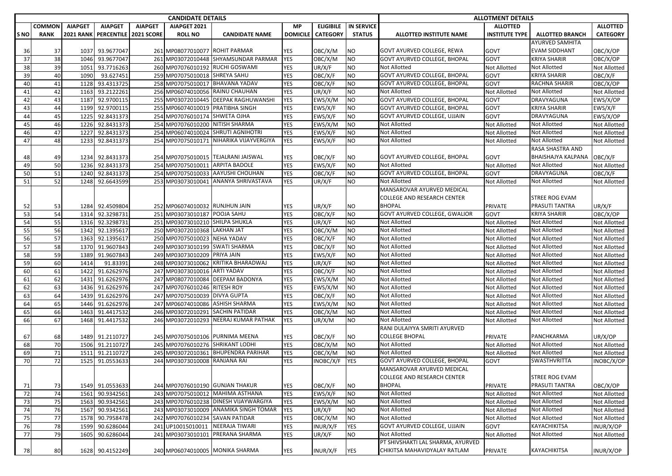|                 |             |                  |                   |                   | <b>CANDIDATE DETAILS</b>         |                                       |                 |                       |                   |                                      | <b>ALLOTMENT DETAILS</b> |                        |                 |  |
|-----------------|-------------|------------------|-------------------|-------------------|----------------------------------|---------------------------------------|-----------------|-----------------------|-------------------|--------------------------------------|--------------------------|------------------------|-----------------|--|
|                 | COMMON      | <b>AIAPGET</b>   | <b>AIAPGET</b>    | <b>AIAPGET</b>    | AIAPGET 2021                     |                                       | <b>MP</b>       | <b>ELIGIBILE</b>      | <b>IN SERVICE</b> |                                      | <b>ALLOTTED</b>          |                        | <b>ALLOTTED</b> |  |
| S <sub>NO</sub> | <b>RANK</b> | <b>2021 RANK</b> | <b>PERCENTILE</b> | <b>2021 SCORE</b> | <b>ROLL NO</b>                   | <b>CANDIDATE NAME</b>                 | <b>DOMICILE</b> | <b>CATEGORY</b>       | <b>STATUS</b>     | <b>ALLOTTED INSTITUTE NAME</b>       | <b>INSTITUTE TYPE</b>    | <b>ALLOTTED BRANCH</b> | <b>CATEGORY</b> |  |
|                 |             |                  |                   |                   |                                  |                                       |                 |                       |                   |                                      |                          | <b>AYURVED SAMHITA</b> |                 |  |
| 36              | 37          | 1037             | 93.9677047        |                   | 261 MP08077010077 ROHIT PARMAR   |                                       | YES             | OBC/X/M               | NO.               | GOVT AYURVED COLLEGE, REWA           | GOVT                     | <b>EVAM SIDDHANT</b>   | OBC/X/OP        |  |
| 37              | 38          |                  | 1046 93.9677047   |                   |                                  | 261 MP03072010448 SHYAMSUNDAR PARMAR  | <b>YES</b>      | OBC/X/M               | NO                | GOVT AYURVED COLLEGE, BHOPAL         | GOVT                     | <b>KRIYA SHARIR</b>    | OBC/X/OP        |  |
| 38              | 39          | 1051             | 93.7716263        |                   |                                  | 260 MP07076010192 RUCHI GOSWAMI       | YES             | UR/X/F                | <b>NO</b>         | Not Allotted                         | Not Allotted             | <b>Not Allotted</b>    | Not Allotted    |  |
| 39              | 40          | 1090             | 93.627451         |                   | 259 MP07075010018 SHREYA SAHU    |                                       | <b>YES</b>      | OBC/X/F               | <b>NO</b>         | <b>GOVT AYURVED COLLEGE, BHOPAL</b>  | GOVT                     | <b>KRIYA SHARIR</b>    | OBC/X/F         |  |
| 40              | 41          | 1128             | 93.4313725        |                   |                                  | 258 MP07075010017 BHAVANA YADAV       | YES             | OBC/X/F               | NO                | GOVT AYURVED COLLEGE, BHOPAL         | GOVT                     | <b>RACHNA SHARIR</b>   | OBC/X/OP        |  |
| 41              | 42          | 1163             | 93.2122261        |                   | 256 MP06074010056                | <b>RAINU CHAUHAN</b>                  | <b>YES</b>      | UR/X/F                | <b>NO</b>         | Not Allotted                         | Not Allotted             | <b>Not Allotted</b>    | Not Allotted    |  |
| 42              | 43          | 1187             | 92.9700115        |                   |                                  | 255 MP03072010445 DEEPAK RAGHUWANSHI  | <b>YES</b>      | EWS/X/M               | NO                | GOVT AYURVED COLLEGE, BHOPAL         | GOVT                     | DRAVYAGUNA             | EWS/X/OP        |  |
| 43              | 44          | 1199             | 92.9700115        |                   | 255 MP06074010019 PRATIBHA SINGH |                                       | YES             | EWS/X/F               | <b>NO</b>         | GOVT AYURVED COLLEGE, BHOPAL         | GOVT                     | <b>KRIYA SHARIR</b>    | EWS/X/F         |  |
| 44              | 45          | 1225             | 92.8431373        |                   | 254 MP07076010174                | <b>SHWETA OJHA</b>                    | YES             | EWS/X/F               | <b>NO</b>         | GOVT AYURVED COLLEGE, UJJAIN         | GOVT                     | DRAVYAGUNA             | EWS/X/OP        |  |
| 45              | 46          | 1226             | 92.8431373        |                   | 254 MP07076010200 NITISH SHARMA  |                                       | <b>YES</b>      | EWS/X/M               | <b>NO</b>         | Not Allotted                         | Not Allotted             | <b>Not Allotted</b>    | Not Allotted    |  |
| 46              | 47          | 1227             | 92.8431373        |                   |                                  | 254 MP06074010024 SHRUTI AGNIHOTRI    | <b>YES</b>      | EWS/X/F               | <b>NO</b>         | Not Allotted                         | <b>Not Allotted</b>      | <b>Not Allotted</b>    | Not Allotted    |  |
| 47              | 48          | 1233             | 92.8431373        |                   | 254 MP07075010171                | NIHARIKA VIJAYVERGIYA                 | YES             | EWS/X/F               | NO                | Not Allotted                         | <b>Not Allotted</b>      | <b>Not Allotted</b>    | Not Allotted    |  |
|                 |             |                  |                   |                   |                                  |                                       |                 |                       |                   |                                      |                          | RASA SHASTRA AND       |                 |  |
| 48              | 49          |                  | 1234 92.8431373   |                   |                                  | 254 MP07075010015 TEJALRANI JAISWAL   | YES             | OBC/X/F               | NO.               | GOVT AYURVED COLLEGE, BHOPAL         | GOVT                     | BHAISHAJYA KALPANA     | OBC/X/F         |  |
| 49              | 50          | 1236             | 92.8431373        |                   | 254 MP07075010011                | <b>ARPITA BADOLE</b>                  | YES             | EWS/X/F               | <b>NO</b>         | <b>Not Allotted</b>                  | <b>Not Allotted</b>      | <b>Not Allotted</b>    | Not Allotted    |  |
| 50              | 51          | 1240             | 92.8431373        |                   | 254 MP07075010033                | <b>AAYUSHI CHOUHAN</b>                | <b>YES</b>      | OBC/X/F               | <b>NO</b>         | <b>GOVT AYURVED COLLEGE, BHOPAL</b>  | GOVT                     | DRAVYAGUNA             | OBC/X/F         |  |
| 51              | 52          | 1248             | 92.6643599        |                   | 253 MP03073010041                | ANANYA SHRIVASTAVA                    | YES             | UR/X/F                | NO                | <b>Not Allotted</b>                  | <b>Not Allotted</b>      | <b>Not Allotted</b>    | Not Allotted    |  |
|                 |             |                  |                   |                   |                                  |                                       |                 |                       |                   | MANSAROVAR AYURVED MEDICAL           |                          |                        |                 |  |
|                 |             |                  |                   |                   |                                  |                                       |                 |                       |                   | COLLEGE AND RESEARCH CENTER          |                          | <b>STREE ROG EVAM</b>  |                 |  |
| 52              | 53          | 1284             | 92.4509804        |                   | 252 MP06074010032                | <b>RUNJHUN JAIN</b>                   | YES             | UR/X/F                | NO                | <b>BHOPAL</b>                        | PRIVATE                  | PRASUTI TANTRA         | UR/X/F          |  |
| 53              | 54          | 1314             | 92.3298731        |                   | 251 MP03073010187 POOJA SAHU     |                                       | YES             | OBC/X/F               | <b>NO</b>         | <b>GOVT AYURVED COLLEGE, GWALIOR</b> | GOVT                     | <b>KRIYA SHARIR</b>    | OBC/X/OP        |  |
| 54              | 55          |                  | 1316 92.3298731   |                   | 251 MP03073010210 SHILPA SHUKLA  |                                       | YES             | UR/X/F                | NO                | Not Allotted                         | Not Allotted             | <b>Not Allotted</b>    | Not Allotted    |  |
| 55              | 56          | 1342             | 92.1395617        |                   | 250 MP03072010368 LAKHAN JAT     |                                       | YES             | OBC/X/M               | <b>NO</b>         | Not Allotted                         | Not Allotted             | <b>Not Allotted</b>    | Not Allotted    |  |
| 56              | 57          | 1363             | 92.1395617        |                   | 250 MP07075010023                | <b>NEHA YADAV</b>                     | YES             | OBC/X/F               | <b>NO</b>         | Not Allotted                         | Not Allotted             | <b>Not Allotted</b>    | Not Allotted    |  |
| 57              | 58          | 1370             | 91.9607843        |                   | 249 MP03073010199 SWATI SHARMA   |                                       | YES             | OBC/X/F               | <b>NO</b>         | Not Allotted                         | <b>Not Allotted</b>      | <b>Not Allotted</b>    | Not Allotted    |  |
| 58              | 59          | 1389             | 91.9607843        |                   | 249 MP03073010209                | PRIYA JAIN                            | YES             | EWS/X/F               | <b>NO</b>         | Not Allotted                         | Not Allotted             | <b>Not Allotted</b>    | Not Allotted    |  |
| 59              | 60          | 1414             | 91.83391          |                   | 248 MP03073010062                | <b>KRITIKA BHARADWAJ</b>              | YES             | UR/X/F                | <b>NO</b>         | Not Allotted                         | Not Allotted             | <b>Not Allotted</b>    | Not Allotted    |  |
| 60              | 61          | 1422             | 91.6262976        |                   | 247 MP03073010016                | <b>ARTI YADAV</b>                     | YES             | OBC/X/F               | NO                | Not Allotted                         | <b>Not Allotted</b>      | <b>Not Allotted</b>    | Not Allotted    |  |
| 61              | 62          | 1431             | 91.6262976        |                   | 247 MP08077010084                | <b>DEEPAM BADONYA</b>                 | <b>YES</b>      | EWS/X/M               | <b>NO</b>         | Not Allotted                         | <b>Not Allotted</b>      | <b>Not Allotted</b>    | Not Allotted    |  |
| 62              | 63          | 1436             | 91.6262976        |                   | 247 MP07076010246                | <b>RITESH ROY</b>                     | <b>YES</b>      | EWS/X/M               | <b>NO</b>         | Not Allotted                         | Not Allotted             | <b>Not Allotted</b>    | Not Allotted    |  |
| 63              | 64          | 1439             | 91.6262976        |                   | 247 MP07075010039 DIVYA GUPTA    |                                       | YES             | OBC/X/F               | <b>NO</b>         | Not Allotted                         | Not Allotted             | <b>Not Allotted</b>    | Not Allotted    |  |
| 64              | 65          | 1446             | 91.6262976        |                   | 247 MP06074010086                | <b>ASHISH SHARMA</b>                  | YES             | EWS/X/M               | <b>NO</b>         | Not Allotted                         | <b>Not Allotted</b>      | <b>Not Allotted</b>    | Not Allotted    |  |
| 65              | 66          | 1463             | 91.4417532        |                   | 246 MP03072010291                | <b>SACHIN PATIDAR</b>                 | YES             | OBC/X/M               | NO                | Not Allotted                         | Not Allotted             | <b>Not Allotted</b>    | Not Allotted    |  |
| 66              | 67          | 1468             | 91.4417532        |                   | 246 MP03072010293                | NEERAJ KUMAR PATHAK                   | YES             | UR/X/M                | NΟ                | Not Allotted                         | <b>Not Allotted</b>      | <b>Not Allotted</b>    | Not Allotted    |  |
|                 |             |                  |                   |                   |                                  |                                       |                 |                       |                   | RANI DULAIYYA SMRITI AYURVED         |                          |                        |                 |  |
| 67              | 68          |                  | 1489 91.2110727   |                   |                                  | 245 MP07075010106 PURNIMA MEENA       | YES             | OBC/X/F               | NO                | COLLEGE BHOPAL                       | PRIVATE                  | PANCHKARMA             | UR/X/OP         |  |
| 68              | 70          | 1506             | 91.2110727        |                   | 245 MP07076010276 SHRIKANT LODHI |                                       | YES             | $\overline{O}$ BC/X/M | <b>NO</b>         | Not Allotted                         | <b>Not Allotted</b>      | <b>Not Allotted</b>    | Not Allotted    |  |
| 69              | 71          | 1511             | 91.2110727        |                   |                                  | 245 MP03072010361 BHUPENDRA PARIHAR   | YES             | OBC/X/M               | <b>NO</b>         | Not Allotted                         | Not Allotted             | <b>Not Allotted</b>    | Not Allotted    |  |
| 70              | 72          | 1525             | 91.0553633        |                   | 244 MP03073010008                | RANJANA RAI                           | YES             | INOBC/X/F             | <b>YES</b>        | GOVT AYURVED COLLEGE, BHOPAL         | GOVT                     | <b>SWASTHVRITTA</b>    | INOBC/X/OP      |  |
|                 |             |                  |                   |                   |                                  |                                       |                 |                       |                   | MANSAROVAR AYURVED MEDICAL           |                          |                        |                 |  |
|                 |             |                  |                   |                   |                                  |                                       |                 |                       |                   | <b>COLLEGE AND RESEARCH CENTER</b>   |                          | <b>STREE ROG EVAM</b>  |                 |  |
| 71              | 73          |                  | 1549 91.0553633   |                   |                                  | 244 MP07076010190 GUNJAN THAKUR       | YES             | OBC/X/F               | <b>NO</b>         | <b>BHOPAL</b>                        | PRIVATE                  | PRASUTI TANTRA         | OBC/X/OP        |  |
| 72              | 74          | 1561             | 90.9342561        |                   |                                  | 243 MP07075010012 MAHIMA ASTHANA      | YES             | EWS/X/F               | <b>NO</b>         | Not Allotted                         | Not Allotted             | <b>Not Allotted</b>    | Not Allotted    |  |
| 73              | 75          | 1563             | 90.9342561        |                   |                                  | 243 MP07076010238 DINESH VIJAYWARGIYA | YES             | EWS/X/M               | <b>NO</b>         | Not Allotted                         | Not Allotted             | <b>Not Allotted</b>    | Not Allotted    |  |
| 74              | 76          | 1567             | 90.9342561        |                   |                                  | 243 MP03073010009 ANAMIKA SINGH TOMAR | YES             | UR/X/F                | <b>NO</b>         | Not Allotted                         | <b>Not Allotted</b>      | Not Allotted           | Not Allotted    |  |
| 75              | 77          | 1578             | 90.7958478        |                   | 242 MP07076010234 SAVAN PATIDAR  |                                       | YES             | OBC/X/M               | <b>NO</b>         | Not Allotted                         | Not Allotted             | <b>Not Allotted</b>    | Not Allotted    |  |
| 76              | 78          | 1599             | 90.6286044        |                   | 241 UP10015010011                | NEERAJA TIWARI                        | <b>YES</b>      | INUR/X/F              | <b>YES</b>        | GOVT AYURVED COLLEGE, UJJAIN         | GOVT                     | KAYACHIKITSA           | INUR/X/OP       |  |
| 77              | 79          | 1605             | 90.6286044        |                   |                                  | 241 MP03073010101 PRERANA SHARMA      | YES             | UR/X/F                | NO                | Not Allotted                         | <b>Not Allotted</b>      | <b>Not Allotted</b>    | Not Allotted    |  |
|                 |             |                  |                   |                   |                                  |                                       |                 |                       |                   | PT SHIVSHAKTI LAL SHARMA, AYURVED    |                          |                        |                 |  |
| 78              | 80          |                  | 1628 90.4152249   |                   |                                  | 240 MP06074010005 MONIKA SHARMA       | YES             | INUR/X/F              | <b>YES</b>        | CHIKITSA MAHAVIDYALAY RATLAM         | PRIVATE                  | <b>KAYACHIKITSA</b>    | INUR/X/OP       |  |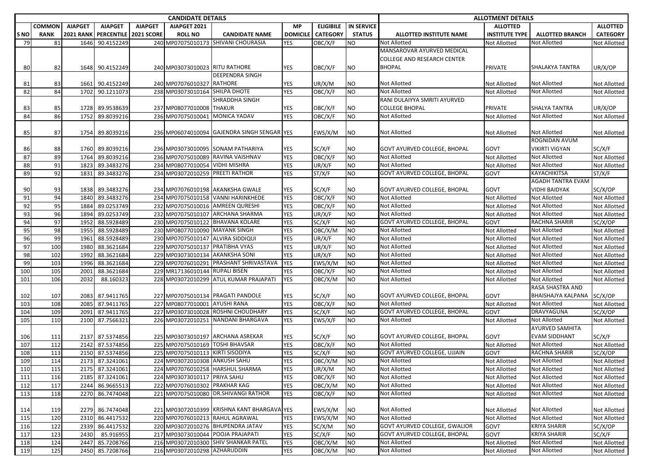|            |                       |                                    |                                     |                                     | <b>CANDIDATE DETAILS</b>          |                                             |                       |                                     |                                    | <b>ALLOTMENT DETAILS</b>            |                                          |                                             |                                    |  |
|------------|-----------------------|------------------------------------|-------------------------------------|-------------------------------------|-----------------------------------|---------------------------------------------|-----------------------|-------------------------------------|------------------------------------|-------------------------------------|------------------------------------------|---------------------------------------------|------------------------------------|--|
| S NO       | COMMON<br><b>RANK</b> | <b>AIAPGET</b><br><b>2021 RANK</b> | <b>AIAPGET</b><br><b>PERCENTILE</b> | <b>AIAPGET</b><br><b>2021 SCORE</b> | AIAPGET 2021<br><b>ROLL NO</b>    | <b>CANDIDATE NAME</b>                       | МP<br><b>DOMICILE</b> | <b>ELIGIBILE</b><br><b>CATEGORY</b> | <b>IN SERVICE</b><br><b>STATUS</b> | <b>ALLOTTED INSTITUTE NAME</b>      | <b>ALLOTTED</b><br><b>INSTITUTE TYPE</b> | <b>ALLOTTED BRANCH</b>                      | <b>ALLOTTED</b><br><b>CATEGORY</b> |  |
| 79         | 81                    | 1646                               | 90.4152249                          |                                     |                                   | 240 MP07075010173 SHIVANI CHOURASIA         | YES                   | OBC/X/F                             | <b>NO</b>                          | <b>Not Allotted</b>                 | Not Allotted                             | <b>Not Allotted</b>                         | Not Allotted                       |  |
|            |                       |                                    |                                     |                                     |                                   |                                             |                       |                                     |                                    | MANSAROVAR AYURVED MEDICAL          |                                          |                                             |                                    |  |
|            |                       |                                    |                                     |                                     |                                   |                                             |                       |                                     |                                    | <b>COLLEGE AND RESEARCH CENTER</b>  |                                          |                                             |                                    |  |
| 80         | 82                    | 1648                               | 90.4152249                          |                                     | 240 MP03073010023 RITU RATHORE    |                                             | YES                   | OBC/X/F                             | <b>NO</b>                          | <b>BHOPAL</b>                       | <b>PRIVATE</b>                           | SHALAKYA TANTRA                             | UR/X/OP                            |  |
|            |                       |                                    |                                     |                                     |                                   | <b>DEEPENDRA SINGH</b>                      |                       |                                     |                                    |                                     |                                          |                                             |                                    |  |
| 81         | 83                    | 1661                               | 90.4152249                          |                                     | 240 MP07076010327                 | <b>RATHORE</b>                              | YES                   | UR/X/M                              | NO                                 | <b>Not Allotted</b>                 | Not Allotted                             | <b>Not Allotted</b>                         | Not Allotted                       |  |
| 82         | 84                    | 1702                               | 90.1211073                          |                                     | 238 MP03073010164 SHILPA DHOTE    |                                             | <b>YES</b>            | OBC/X/F                             | <b>NO</b>                          | Not Allotted                        | Not Allotted                             | <b>Not Allotted</b>                         | Not Allotted                       |  |
|            |                       |                                    |                                     |                                     |                                   | SHRADDHA SINGH                              |                       |                                     |                                    | RANI DULAIYYA SMRITI AYURVED        |                                          |                                             |                                    |  |
| 83         | 85                    | 1728                               | 89.9538639                          |                                     | 237 MP08077010008 THAKUR          |                                             | YES                   | OBC/X/F                             | <b>NO</b>                          | <b>COLLEGE BHOPAL</b>               | PRIVATE                                  | <b>SHALYA TANTRA</b>                        | UR/X/OP                            |  |
| 84         | 86                    | 1752                               | 89.8039216                          |                                     | 236 MP07075010041                 | <b>MONICA YADAV</b>                         | YES                   | OBC/X/F                             | <b>NO</b>                          | Not Allotted                        | Not Allotted                             | <b>Not Allotted</b>                         | Not Allotted                       |  |
|            |                       |                                    |                                     |                                     |                                   |                                             |                       |                                     |                                    |                                     |                                          |                                             |                                    |  |
| 85         | 87                    | 1754                               | 89.8039216                          |                                     |                                   | 236 MP06074010094 GAJENDRA SINGH SENGAR YES |                       | EWS/X/M                             | ΝO                                 | <b>Not Allotted</b>                 | Not Allotted                             | <b>Not Allotted</b>                         | Not Allotted                       |  |
|            |                       |                                    |                                     |                                     |                                   |                                             |                       |                                     |                                    |                                     |                                          | ROGNIDAN AVUM                               |                                    |  |
| 86         | 88                    | 1760                               | 89.8039216                          |                                     |                                   | 236 MP03073010095 SONAM PATHARIYA           | YES                   | SC/X/F                              | <b>NO</b>                          | <b>GOVT AYURVED COLLEGE, BHOPAL</b> | <b>GOVT</b>                              | <b>VIKIRTI VIGYAN</b>                       | SC/X/F                             |  |
| 87         | 89                    | 1764                               | 89.8039216                          |                                     |                                   | 236 MP07075010089 RAVINA VAISHNAV           | YES                   | OBC/X/F                             | <b>NO</b>                          | <b>Not Allotted</b>                 | <b>Not Allotted</b>                      | <b>Not Allotted</b>                         | Not Allotted                       |  |
| 88         | 91                    | 1823                               | 89.3483276                          |                                     | 234 MP08077010054                 | <b>VIDHI MISHRA</b>                         | YES                   | UR/X/F                              | <b>NO</b>                          | <b>Not Allotted</b>                 | <b>Not Allotted</b>                      | <b>Not Allotted</b>                         | Not Allotted                       |  |
| 89         | 92                    | 1831                               | 89.3483276                          |                                     | 234 MP03072010259 PREETI RATHOR   |                                             | <b>YES</b>            | ST/X/F                              | <b>NO</b>                          | GOVT AYURVED COLLEGE, BHOPAL        | <b>GOVT</b>                              | KAYACHIKITSA                                | ST/X/F                             |  |
|            |                       |                                    |                                     |                                     |                                   |                                             |                       |                                     |                                    |                                     |                                          | <b>AGADH TANTRA EVAM</b>                    |                                    |  |
| 90         | 93                    | 1838                               | 89.3483276                          |                                     |                                   | 234 MP07076010198 AKANKSHA GWALE            | YES                   | SC/X/F                              | <b>NO</b>                          | GOVT AYURVED COLLEGE, BHOPAL        | GOVT                                     | <b>VIDHI BAIDYAK</b>                        | SC/X/OP                            |  |
| 91         | 94                    | 1840                               | 89.3483276                          |                                     |                                   | 234 MP07075010158 VANNI HARINKHEDE          | YES                   | OBC/X/F                             | <b>NO</b>                          | <b>Not Allotted</b>                 | Not Allotted                             | <b>Not Allotted</b>                         | Not Allotted                       |  |
| 92         | 95                    | 1884                               | 89.0253749                          |                                     |                                   | 232 MP07075010016 AMREEN QURESHI            | YES                   | OBC/X/F                             | <b>NO</b>                          | Not Allotted                        | Not Allotted                             | <b>Not Allotted</b>                         | Not Allotted                       |  |
| 93         | 96                    | 1894                               | 89.0253749                          |                                     |                                   | 232 MP07075010107 ARCHANA SHARMA            | YES                   | UR/X/F                              | <b>NO</b>                          | <b>Not Allotted</b>                 | Not Allotted                             | Not Allotted                                | Not Allotted                       |  |
| 94         | 97                    | 1952                               | 88.5928489                          |                                     |                                   | 230 MP07075010122 BHAVANA KOLARE            | YES                   | SC/X/F                              | <b>NO</b>                          | GOVT AYURVED COLLEGE, BHOPAL        | GOVT                                     | <b>RACHNA SHARIR</b>                        | SC/X/OP                            |  |
| 95         | 98                    | 1955                               | 88.5928489                          |                                     | 230 MP08077010090 MAYANK SINGH    |                                             | <b>YES</b>            | OBC/X/M                             | <b>NO</b>                          | Not Allotted                        | Not Allotted                             | <b>Not Allotted</b>                         | Not Allotted                       |  |
| 96         | 99                    | 1961                               | 88.5928489                          |                                     | 230 MP07075010147 ALVIRA SIDDIQUI |                                             | YES                   | UR/X/F                              | <b>NO</b>                          | Not Allotted                        | Not Allotted                             | <b>Not Allotted</b>                         | Not Allotted                       |  |
| 97         | 100                   | 1980                               | 88.3621684                          |                                     | 229 MP07075010137                 | <b>PRATIBHA VYAS</b>                        | YES                   | UR/X/F                              | <b>NO</b>                          | Not Allotted                        | <b>Not Allotted</b>                      | <b>Not Allotted</b>                         | Not Allotted                       |  |
| 98         | 102                   | 1992                               | 88.3621684                          |                                     | 229 MP03073010134 AKANKSHA SONI   |                                             | <b>YES</b>            | UR/X/F                              | <b>NO</b>                          | Not Allotted                        | Not Allotted                             | <b>Not Allotted</b>                         | Not Allotted                       |  |
| 99         | 103                   | 1996                               | 88.3621684                          |                                     |                                   | 229 MP07076010291 PRASHANT SHRIVASTAVA      | <b>YES</b>            | EWS/X/M                             | <b>NO</b>                          | <b>Not Allotted</b>                 | Not Allotted                             | <b>Not Allotted</b>                         | Not Allotted                       |  |
| 100        | 105                   | 2001                               | 88.3621684                          |                                     | 229 MR17136010144 RUPALI BISEN    |                                             | <b>YES</b>            | OBC/X/F                             | <b>NO</b>                          | Not Allotted                        | <b>Not Allotted</b>                      | <b>Not Allotted</b>                         | Not Allotted                       |  |
| 101        | 106                   | 2032                               | 88.160323                           |                                     |                                   | 228 MP03072010299 ATUL KUMAR PRAJAPATI      | YES                   | OBC/X/M                             | <b>NO</b>                          | Not Allotted                        | Not Allotted                             | <b>Not Allotted</b>                         | Not Allotted                       |  |
|            |                       |                                    |                                     |                                     |                                   |                                             |                       |                                     |                                    |                                     |                                          | RASA SHASTRA AND                            |                                    |  |
| 102        | 107                   | 2083                               | 87.9411765                          |                                     |                                   | 227 MP07075010134 PRAGATI PANDOLE           | YES                   | SC/X/F                              | <b>NO</b>                          | GOVT AYURVED COLLEGE, BHOPAL        | <b>GOVT</b>                              | BHAISHAJYA KALPANA                          | SC/X/OP                            |  |
| 103        | 108                   | 2085                               | 87.9411765                          |                                     | 227 MP08077010001 AYUSHI RANA     |                                             | <b>YES</b>            | OBC/X/F                             | <b>NO</b>                          | <b>Not Allotted</b>                 | Not Allotted                             | Not Allotted                                | Not Allotted                       |  |
| 104        | 109                   | 2091                               | 87.9411765                          |                                     | 227 MP03073010028                 | <b>ROSHNI CHOUDHARY</b>                     | YES                   | SC/X/F                              | <b>NO</b>                          | GOVT AYURVED COLLEGE, BHOPAL        | <b>GOVT</b>                              | DRAVYAGUNA                                  | SC/X/OP                            |  |
| 105        | 110                   | 2100                               | 87.7566321                          |                                     |                                   | 226 MP03072010251 NANDANI BHARGAVA          | YES                   | EWS/X/F                             | <b>NO</b>                          | <b>Not Allotted</b>                 | <b>Not Allotted</b>                      | <b>Not Allotted</b>                         | Not Allotted                       |  |
|            |                       |                                    |                                     |                                     |                                   |                                             |                       |                                     |                                    | <b>GOVT AYURVED COLLEGE, BHOPAL</b> |                                          | <b>AYURVED SAMHITA</b>                      |                                    |  |
| 106        | 111<br>112            | 2137<br>2142                       | 87.5374856<br>87.5374856            |                                     | 225 MP07075010169 TOSHI BHAVSAR   | 225 MP03073010197 ARCHANA ASREKAR           | YES<br><b>YES</b>     | SC/X/F                              | <b>NO</b><br><b>NO</b>             | <b>Not Allotted</b>                 | <b>GOVT</b>                              | <b>EVAM SIDDHANT</b><br><b>Not Allotted</b> | SC/X/F<br>Not Allotted             |  |
| 107<br>108 | 113                   | 2150                               | 87.5374856                          |                                     | 225 MP07075010113 KIRTI SISODIYA  |                                             | <b>YES</b>            | OBC/X/F<br>SC/X/F                   | <b>NO</b>                          | GOVT AYURVED COLLEGE, UJJAIN        | Not Allotted<br><b>GOVT</b>              | <b>RACHNA SHARIR</b>                        | SC/X/OP                            |  |
| 109        | 114                   | 2173                               | 87.3241061                          |                                     | 224 MP03072010308 ANKUSH SAHU     |                                             | YES                   | OBC/X/M                             | <b>NO</b>                          | <b>Not Allotted</b>                 | Not Allotted                             | <b>Not Allotted</b>                         | Not Allotted                       |  |
| 110        | 115                   | 2175                               | 87.3241061                          |                                     |                                   | 224 MP07076010258 HARSHUL SHARMA            | YES                   | UR/X/M                              | <b>NO</b>                          | Not Allotted                        | Not Allotted                             | <b>Not Allotted</b>                         | Not Allotted                       |  |
| 111        | 116                   |                                    | 2185 87.3241061                     |                                     | 224 MP03073010117 PRIYA SAHU      |                                             | YES                   | OBC/X/F                             | N <sub>O</sub>                     | <b>Not Allotted</b>                 | Not Allotted                             | <b>Not Allotted</b>                         | Not Allotted                       |  |
| 112        | 117                   | 2244                               | 86.9665513                          |                                     | 222 MP07076010302 PRAKHAR KAG     |                                             | <b>YES</b>            | OBC/X/M                             | <b>NO</b>                          | <b>Not Allotted</b>                 | Not Allotted                             | Not Allotted                                | Not Allotted                       |  |
| 113        | 118                   | 2270                               | 86.7474048                          |                                     |                                   | 221 MP07075010080 DR.SHIVANGI RATHOR        | <b>YES</b>            | OBC/X/F                             | <b>NO</b>                          | Not Allotted                        | <b>Not Allotted</b>                      | <b>Not Allotted</b>                         | Not Allotted                       |  |
|            |                       |                                    |                                     |                                     |                                   |                                             |                       |                                     |                                    |                                     |                                          |                                             |                                    |  |
| 114        | 119                   | 2279                               | 86.7474048                          |                                     |                                   | 221 MP03072010399 KRISHNA KANT BHARGAVA YES |                       | EWS/X/M                             | NO                                 | Not Allotted                        | Not Allotted                             | Not Allotted                                | Not Allotted                       |  |
| 115        | 120                   | 2310                               | 86.4417532                          |                                     |                                   | 220 MP07076010213 RAHUL AGRAWAL             | YES                   | EWS/X/M                             | <b>NO</b>                          | Not Allotted                        | <b>Not Allotted</b>                      | Not Allotted                                | Not Allotted                       |  |
| 116        | 122                   | 2339                               | 86.4417532                          |                                     |                                   | 220 MP03072010276 BHUPENDRA JATAV           | <b>YES</b>            | SC/X/M                              | <b>NO</b>                          | GOVT AYURVED COLLEGE, GWALIOR       | <b>GOVT</b>                              | <b>KRIYA SHARIR</b>                         | SC/X/OP                            |  |
| 117        | 123                   | 2430                               | 85.916955                           |                                     |                                   | 217 MP03073010044 POOJA PRAJAPATI           | <b>YES</b>            | SC/X/F                              | <b>NO</b>                          | GOVT AYURVED COLLEGE, BHOPAL        | GOVT                                     | <b>KRIYA SHARIR</b>                         | SC/X/F                             |  |
| 118        | 124                   | 2447                               | 85.7208766                          |                                     |                                   | 216 MP03072010300 SHIV SHANKAR PATEL        | YES                   | OBC/X/M                             | <b>NO</b>                          | Not Allotted                        | Not Allotted                             | Not Allotted                                | Not Allotted                       |  |
| 119        | 125                   |                                    | 2450 85.7208766                     |                                     | 216 MP03072010298 AZHARUDDIN      |                                             | YES                   | OBC/X/M                             | <b>NO</b>                          | Not Allotted                        | Not Allotted                             | <b>Not Allotted</b>                         | Not Allotted                       |  |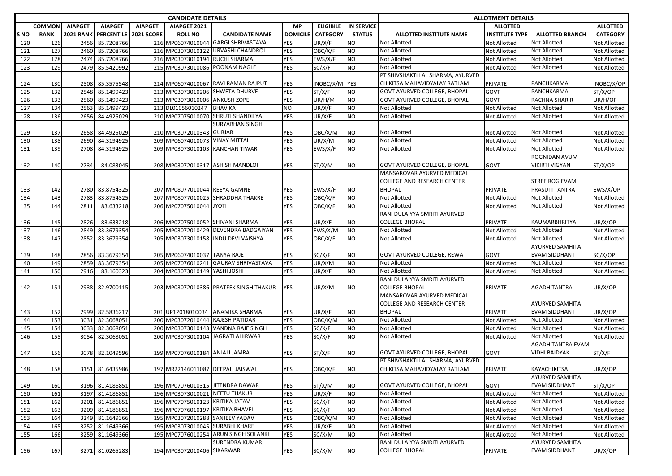|            |               |                  |                   |                   | <b>CANDIDATE DETAILS</b>         |                                        |                 |                     |                   | <b>ALLOTMENT DETAILS</b>            |                       |                        |                     |  |
|------------|---------------|------------------|-------------------|-------------------|----------------------------------|----------------------------------------|-----------------|---------------------|-------------------|-------------------------------------|-----------------------|------------------------|---------------------|--|
|            | <b>COMMON</b> | <b>AIAPGET</b>   | <b>AIAPGET</b>    | <b>AIAPGET</b>    | AIAPGET 2021                     |                                        | <b>MP</b>       | <b>ELIGIBILE</b>    | <b>IN SERVICE</b> |                                     | <b>ALLOTTED</b>       |                        | <b>ALLOTTED</b>     |  |
| <b>SNO</b> | <b>RANK</b>   | <b>2021 RANK</b> | <b>PERCENTILE</b> | <b>2021 SCORE</b> | <b>ROLL NO</b>                   | <b>CANDIDATE NAME</b>                  | <b>DOMICILE</b> | <b>CATEGORY</b>     | <b>STATUS</b>     | ALLOTTED INSTITUTE NAME             | <b>INSTITUTE TYPE</b> | <b>ALLOTTED BRANCH</b> | <b>CATEGORY</b>     |  |
| 120        | 126           | 2456             | 85.7208766        |                   |                                  | 216 MP06074010044 GARGI SHRIVASTAVA    | <b>YES</b>      | UR/X/F              | NO                | <b>Not Allotted</b>                 | Not Allotted          | Not Allotted           | Not Allotted        |  |
| 121        | 127           | 2460             | 85.7208766        |                   |                                  | 216 MP03073010122 URVASHI CHANDROL     | <b>YES</b>      | OBC/X/F             | NO                | <b>Not Allotted</b>                 | Not Allotted          | <b>Not Allotted</b>    | Not Allotted        |  |
| 122        | 128           | 2474             | 85.7208766        |                   | 216 MP03073010194 RUCHI SHARMA   |                                        | YES             | EWS/X/F             | NO                | <b>Not Allotted</b>                 | <b>Not Allotted</b>   | <b>Not Allotted</b>    | Not Allotted        |  |
| 123        | 129           | 2479             | 85.5420992        |                   | 215 MP03073010086 POONAM NAGLE   |                                        | YES             | SC/X/F              | NO.               | <b>Not Allotted</b>                 | <b>Not Allotted</b>   | Not Allotted           | Not Allotted        |  |
|            |               |                  |                   |                   |                                  |                                        |                 |                     |                   | PT SHIVSHAKTI LAL SHARMA, AYURVED   |                       |                        |                     |  |
| 124        | 130           | 2508             | 85.3575548        |                   |                                  | 214 MP06074010067 RAVI RAMAN RAJPUT    | YES             | INOBC/X/M YES       |                   | CHIKITSA MAHAVIDYALAY RATLAM        | PRIVATE               | PANCHKARMA             | INOBC/X/OP          |  |
| 125        | 132           | 2548             | 85.1499423        |                   |                                  | 213 MP03073010206 SHWETA DHURVE        | <b>YES</b>      | ST/X/F              | NO.               | <b>GOVT AYURVED COLLEGE, BHOPAL</b> | GOVT                  | PANCHKARMA             | ST/X/OP             |  |
| 126        | 133           | 2560             | 85.1499423        |                   | 213 MP03073010006 ANKUSH ZOPE    |                                        | <b>YES</b>      | UR/H/M              | NO.               | GOVT AYURVED COLLEGE, BHOPAL        | GOVT                  | RACHNA SHARIR          | UR/H/OP             |  |
| 127        | 134           | 2563             | 85.1499423        |                   | 213 DL01056010247                | <b>BHAVIKA</b>                         | <b>NO</b>       | UR/X/F              | NO                | <b>Not Allotted</b>                 | <b>Not Allotted</b>   | <b>Not Allotted</b>    | <b>Not Allotted</b> |  |
| 128        | 136           | 2656             | 84.4925029        |                   | 210 MP07075010070                | <b>SHRUTI SHANDILYA</b>                | YES             | UR/X/F              | NO.               | Not Allotted                        | Not Allotted          | Not Allotted           | Not Allotted        |  |
|            |               |                  |                   |                   |                                  | <b>SURYABHAN SINGH</b>                 |                 |                     |                   |                                     |                       |                        |                     |  |
| 129        | 137           |                  | 2658 84.4925029   |                   | 210 MP03072010343 GURJAR         |                                        | YES             | OBC/X/M             | NO.               | <b>Not Allotted</b>                 | Not Allotted          | Not Allotted           | Not Allotted        |  |
| 130        | 138           | 2690             | 84.3194925        |                   | 209 MP06074010073                | <b>VINAY MITTAL</b>                    | <b>YES</b>      | UR/X/M              | NO                | <b>Not Allotted</b>                 | Not Allotted          | <b>Not Allotted</b>    | Not Allotted        |  |
| 131        | 139           | 2708             | 84.3194925        |                   | 209 MP03073010103                | <b>KANCHAN TIWARI</b>                  | YES             | EWS/X/F             | NO.               | Not Allotted                        | Not Allotted          | Not Allotted           | Not Allotted        |  |
|            |               |                  |                   |                   |                                  |                                        |                 |                     |                   |                                     |                       | ROGNIDAN AVUM          |                     |  |
| 132        | 140           | 2734             | 84.083045         |                   |                                  | 208 MP03072010317 ASHISH MANDLOI       | YES             | ST/X/M              | ΝO                | <b>GOVT AYURVED COLLEGE, BHOPAL</b> | GOVT                  | <b>VIKIRTI VIGYAN</b>  | ST/X/OP             |  |
|            |               |                  |                   |                   |                                  |                                        |                 |                     |                   | <b>MANSAROVAR AYURVED MEDICAL</b>   |                       |                        |                     |  |
|            |               |                  |                   |                   |                                  |                                        |                 |                     |                   | <b>COLLEGE AND RESEARCH CENTER</b>  |                       | STREE ROG EVAM         |                     |  |
| 133        | 142           | 2780             | 83.8754325        |                   | 207 MP08077010044 REEYA GAMNE    |                                        | YES             | EWS/X/F             | NO                | <b>BHOPAL</b>                       | <b>PRIVATE</b>        | PRASUTI TANTRA         | EWS/X/OP            |  |
| 134        | 143           | 2783             | 83.8754325        |                   | 207 MP08077010025                | <b>SHRADDHA THAKRE</b>                 | <b>YES</b>      | OBC/X/F             | NO                | Not Allotted                        | <b>Not Allotted</b>   | <b>Not Allotted</b>    | Not Allotted        |  |
| 135        | 144           | 2811             | 83.633218         |                   | 206 MP07075010044 JYOTI          |                                        | YES             | OBC/X/F             | NO                | <b>Not Allotted</b>                 | Not Allotted          | Not Allotted           | Not Allotted        |  |
|            |               |                  |                   |                   |                                  |                                        |                 |                     |                   | RANI DULAIYYA SMRITI AYURVED        |                       |                        |                     |  |
| 136        | 145           | 2826             | 83.633218         |                   |                                  | 206 MP07075010052 SHIVANI SHARMA       | <b>YES</b>      | UR/X/F              | ΝO                | <b>COLLEGE BHOPAL</b>               | PRIVATE               | KAUMARBHRITYA          | UR/X/OP             |  |
| 137        | 146           | 2849             | 83.3679354        |                   |                                  | 205 MP03072010429 DEVENDRA BADGAIYAN   | <b>YES</b>      | EWS/X/M             | NO                | <b>Not Allotted</b>                 | Not Allotted          | <b>Not Allotted</b>    | Not Allotted        |  |
| 138        | 147           | 2852             | 83.3679354        |                   |                                  | 205 MP03073010158 INDU DEVI VAISHYA    | YES             | OBC/X/F             | NO                | Not Allotted                        | Not Allotted          | Not Allotted           | <b>Not Allotted</b> |  |
|            |               |                  |                   |                   |                                  |                                        |                 |                     |                   |                                     |                       | <b>AYURVED SAMHITA</b> |                     |  |
| 139        | 148           | 2856             | 83.3679354        |                   | 205 MP06074010037 TANYA RAJE     |                                        | YES             | SC/X/F              | ΝO                | <b>GOVT AYURVED COLLEGE, REWA</b>   | GOVT                  | <b>EVAM SIDDHANT</b>   | SC/X/OP             |  |
| 140        | 149           | 2859             | 83.3679354        |                   |                                  | 205 MP07076010241 GAURAV SHRIVASTAVA   | <b>YES</b>      | UR/X/M              | NO.               | <b>Not Allotted</b>                 | Not Allotted          | Not Allotted           | Not Allotted        |  |
| 141        | 150           | 2916             | 83.160323         |                   | 204 MP03073010149 YASHI JOSHI    |                                        | <b>YES</b>      | UR/X/F              | NO.               | <b>Not Allotted</b>                 | <b>Not Allotted</b>   | <b>Not Allotted</b>    | <b>Not Allotted</b> |  |
|            |               |                  |                   |                   |                                  |                                        |                 |                     |                   | RANI DULAIYYA SMRITI AYURVED        |                       |                        |                     |  |
| 142        | 151           |                  | 2938 82.9700115   |                   |                                  | 203 MP03072010386 PRATEEK SINGH THAKUR | YES             | UR/X/M              | NO.               | <b>COLLEGE BHOPAL</b>               | <b>PRIVATE</b>        | AGADH TANTRA           | UR/X/OP             |  |
|            |               |                  |                   |                   |                                  |                                        |                 |                     |                   | MANSAROVAR AYURVED MEDICAL          |                       |                        |                     |  |
|            |               |                  |                   |                   |                                  |                                        |                 |                     |                   | <b>COLLEGE AND RESEARCH CENTER</b>  |                       | <b>AYURVED SAMHITA</b> |                     |  |
| 143        | 152           | 2999             | 82.5836217        |                   |                                  | 201 UP12018010034 ANAMIKA SHARMA       | YES             | UR/X/F              | ΝO                | <b>BHOPAL</b>                       | PRIVATE               | <b>EVAM SIDDHANT</b>   | UR/X/OP             |  |
| 144        | 153           | 3031             | 82.3068051        |                   | 200 MP03072010444 RAJESH PATIDAR |                                        | <b>YES</b>      | OBC/X/M             | NO                | Not Allotted                        | Not Allotted          | <b>Not Allotted</b>    | Not Allotted        |  |
| 145        | 154           | 3033             | 82.3068051        |                   |                                  | 200 MP03073010143 VANDNA RAJE SINGH    | YES             | SC/X/F              | NO                | Not Allotted                        | Not Allotted          | Not Allotted           | Not Allotted        |  |
| 146        | 155           | 3054             | 82.3068051        |                   |                                  | 200 MP03073010104 JAGRATI AHIRWAR      | YES             | SC/X/F              | NO                | <b>Not Allotted</b>                 | Not Allotted          | <b>Not Allotted</b>    | Not Allotted        |  |
|            |               |                  |                   |                   |                                  |                                        |                 |                     |                   |                                     |                       | AGADH TANTRA EVAM      |                     |  |
| 147        | 156           |                  | 3078 82.1049596   |                   | 199 MP07076010184 ANJALI JAMRA   |                                        | YES             | ST/X/F              | NO.               | <b>GOVT AYURVED COLLEGE, BHOPAL</b> | GOVT                  | VIDHI BAIDYAK          | ST/X/F              |  |
|            |               |                  |                   |                   |                                  |                                        |                 |                     |                   | PT SHIVSHAKTI LAL SHARMA, AYURVED   |                       |                        |                     |  |
| 148        | 158           |                  | 3151 81.6435986   |                   |                                  | 197 MR22146011087 DEEPALI JAISWAL      | <b>YES</b>      | OBC/X/F             | <b>NO</b>         | CHIKITSA MAHAVIDYALAY RATLAM        | <b>PRIVATE</b>        | <b>KAYACHIKITSA</b>    | UR/X/OP             |  |
|            |               |                  |                   |                   |                                  |                                        |                 |                     |                   |                                     |                       | <b>AYURVED SAMHITA</b> |                     |  |
| 149        | 160           | 3196             | 81.4186851        |                   |                                  | 196 MP07076010315 JITENDRA DAWAR       | YES             | ST/X/M              | ΝO                | <b>GOVT AYURVED COLLEGE, BHOPAL</b> | GOVT                  | <b>EVAM SIDDHANT</b>   | ST/X/OP             |  |
| 150        | 161           | 3197             | 81.4186851        |                   | 196 MP03073010021 NEETU THAKUR   |                                        | YES             | UR/X/F              | ΝO                | <b>Not Allotted</b>                 | Not Allotted          | Not Allotted           | <b>Not Allotted</b> |  |
| 151        | 162           | 3201             | 81.4186851        |                   | 196 MP07075010123 KRITIKA JATAV  |                                        | YES             | $\overline{SC}/X/F$ | ΝO                | <b>Not Allotted</b>                 | Not Allotted          | <b>Not Allotted</b>    | Not Allotted        |  |
| 152        | 163           | 3209             | 81.4186851        |                   | 196 MP07076010197 KRITIKA BHAVEL |                                        | YES             | SC/X/F              | NO.               | Not Allotted                        | <b>Not Allotted</b>   | <b>Not Allotted</b>    | <b>Not Allotted</b> |  |
| 153        | 164           | 3249             | 81.1649366        |                   | 195 MP03072010288 SANJEEV YADAV  |                                        | YES             | OBC/X/M             | ΝO                | Not Allotted                        | <b>Not Allotted</b>   | <b>Not Allotted</b>    | Not Allotted        |  |
| 154        | 165           | 3252             | 81.1649366        |                   | 195 MP03073010045 SURABHI KHARE  |                                        | YES             | UR/X/F              | NO                | Not Allotted                        | Not Allotted          | Not Allotted           | <b>Not Allotted</b> |  |
| 155        | 166           | 3259             | 81.1649366        |                   |                                  | 195 MP07076010254 ARUN SINGH SOLANKI   | YES             | SC/X/M              | NO.               | <b>Not Allotted</b>                 | <b>Not Allotted</b>   | <b>Not Allotted</b>    | <b>Not Allotted</b> |  |
|            |               |                  |                   |                   |                                  | <b>SURENDRA KUMAR</b>                  |                 |                     |                   | RANI DULAIYYA SMRITI AYURVED        |                       | <b>AYURVED SAMHITA</b> |                     |  |
| 156        | 167           |                  | 3271 81.0265283   |                   | 194 MP03072010406 SIKARWAR       |                                        | <b>YES</b>      | SC/X/M              | ΝO                | <b>COLLEGE BHOPAL</b>               | PRIVATE               | <b>EVAM SIDDHANT</b>   | UR/X/OP             |  |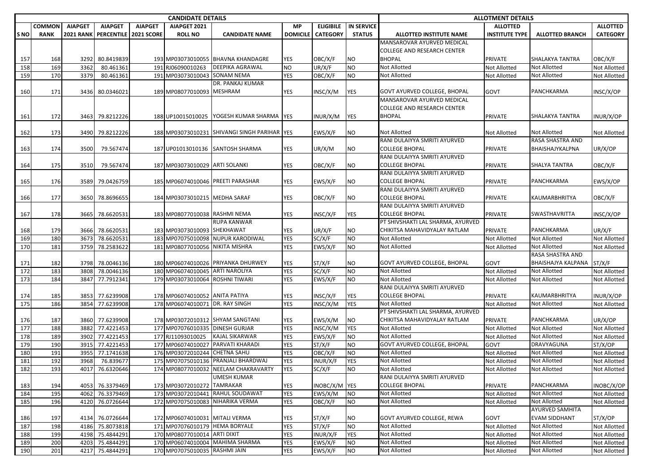|                 |               |                  |                               |                   | <b>CANDIDATE DETAILS</b>        |                                              |                   |                  | <b>ALLOTMENT DETAILS</b><br><b>ALLOTTED</b><br><b>ALLOTTED</b><br><b>INSTITUTE TYPE</b><br><b>CATEGORY</b><br><b>ALLOTTED BRANCH</b><br>OBC/X/F<br>PRIVATE<br>SHALAKYA TANTRA<br>Not Allotted<br>Not Allotted<br>Not Allotted<br>Not Allotted<br><b>Not Allotted</b><br><b>Not Allotted</b><br>GOVT<br>PANCHKARMA<br>INSC/X/OP<br>SHALAKYA TANTRA<br>PRIVATE<br>INUR/X/OP<br><b>Not Allotted</b><br><b>Not Allotted</b><br>Not Allotted<br>RASA SHASTRA AND |                                              |                                     |                                        |                              |
|-----------------|---------------|------------------|-------------------------------|-------------------|---------------------------------|----------------------------------------------|-------------------|------------------|-------------------------------------------------------------------------------------------------------------------------------------------------------------------------------------------------------------------------------------------------------------------------------------------------------------------------------------------------------------------------------------------------------------------------------------------------------------|----------------------------------------------|-------------------------------------|----------------------------------------|------------------------------|
|                 | <b>COMMON</b> | <b>AIAPGET</b>   | <b>AIAPGET</b>                | <b>AIAPGET</b>    | AIAPGET 2021                    |                                              | <b>MP</b>         | <b>ELIGIBILE</b> | <b>IN SERVICE</b>                                                                                                                                                                                                                                                                                                                                                                                                                                           |                                              |                                     |                                        |                              |
| S <sub>NO</sub> | <b>RANK</b>   | <b>2021 RANK</b> | <b>PERCENTILE</b>             | <b>2021 SCORE</b> | <b>ROLL NO</b>                  | <b>CANDIDATE NAME</b>                        | DOMICILE          | <b>CATEGORY</b>  | <b>STATUS</b>                                                                                                                                                                                                                                                                                                                                                                                                                                               | ALLOTTED INSTITUTE NAME                      |                                     |                                        |                              |
|                 |               |                  |                               |                   |                                 |                                              |                   |                  |                                                                                                                                                                                                                                                                                                                                                                                                                                                             | MANSAROVAR AYURVED MEDICAL                   |                                     |                                        |                              |
|                 |               |                  |                               |                   |                                 |                                              |                   |                  |                                                                                                                                                                                                                                                                                                                                                                                                                                                             | <b>COLLEGE AND RESEARCH CENTER</b>           |                                     |                                        |                              |
| 157             | 168           | 3292             | 80.8419839                    |                   |                                 | 193 MP03073010055 BHAVNA KHANDAGRE           | <b>YES</b>        | OBC/X/F          | ΝO                                                                                                                                                                                                                                                                                                                                                                                                                                                          | <b>BHOPAL</b>                                |                                     |                                        |                              |
| 158             | 169           | 3362             | 80.461361                     |                   | 191 RJ06090010263               | <b>DEEPIKA AGRAWAL</b>                       | <b>NO</b>         | UR/X/F           | NO                                                                                                                                                                                                                                                                                                                                                                                                                                                          | Not Allotted                                 |                                     |                                        |                              |
| 159             | 170           | 3379             | 80.461361                     |                   | 191 MP03073010043               | <b>SONAM NEMA</b>                            | YES               | OBC/X/F          | NO.                                                                                                                                                                                                                                                                                                                                                                                                                                                         | <b>Not Allotted</b>                          |                                     |                                        |                              |
|                 |               |                  |                               |                   |                                 | DR. PANKAJ KUMAR                             |                   |                  |                                                                                                                                                                                                                                                                                                                                                                                                                                                             |                                              |                                     |                                        |                              |
| 160             | 171           |                  | 3436 80.0346021               |                   | 189 MP08077010093 MESHRAM       |                                              | YES               | INSC/X/M         | YES                                                                                                                                                                                                                                                                                                                                                                                                                                                         | <b>GOVT AYURVED COLLEGE, BHOPAL</b>          |                                     |                                        |                              |
|                 |               |                  |                               |                   |                                 |                                              |                   |                  |                                                                                                                                                                                                                                                                                                                                                                                                                                                             | MANSAROVAR AYURVED MEDICAL                   |                                     |                                        |                              |
|                 |               |                  |                               |                   |                                 |                                              |                   |                  |                                                                                                                                                                                                                                                                                                                                                                                                                                                             | <b>COLLEGE AND RESEARCH CENTER</b>           |                                     |                                        |                              |
| 161             | 172           |                  | 3463 79.8212226               |                   |                                 | 188 UP10015010025 YOGESH KUMAR SHARMA YES    |                   | INUR/X/M         | YES                                                                                                                                                                                                                                                                                                                                                                                                                                                         | <b>BHOPAL</b>                                |                                     |                                        |                              |
|                 |               |                  |                               |                   |                                 |                                              |                   |                  |                                                                                                                                                                                                                                                                                                                                                                                                                                                             |                                              |                                     |                                        |                              |
| 162             | 173           |                  | 3490 79.8212226               |                   |                                 | 188 MP03073010231 SHIVANGI SINGH PARIHAR YES |                   | EWS/X/F          | ΝO                                                                                                                                                                                                                                                                                                                                                                                                                                                          | <b>Not Allotted</b>                          |                                     |                                        |                              |
|                 |               |                  |                               |                   |                                 |                                              |                   |                  |                                                                                                                                                                                                                                                                                                                                                                                                                                                             | RANI DULAIYYA SMRITI AYURVED                 |                                     |                                        |                              |
| 163             | 174           | 3500             | 79.567474                     |                   |                                 | 187 UP01013010136 SANTOSH SHARMA             | YES               | UR/X/M           | NO.                                                                                                                                                                                                                                                                                                                                                                                                                                                         | <b>COLLEGE BHOPAL</b>                        | PRIVATE                             | BHAISHAJYKALPNA                        | UR/X/OP                      |
|                 |               |                  |                               |                   |                                 |                                              |                   |                  |                                                                                                                                                                                                                                                                                                                                                                                                                                                             | RANI DULAIYYA SMRITI AYURVED                 |                                     |                                        |                              |
| 164             | 175           | 3510             | 79.567474                     |                   | 187 MP03073010029 ARTI SOLANKI  |                                              | YES               | OBC/X/F          | NO.                                                                                                                                                                                                                                                                                                                                                                                                                                                         | <b>COLLEGE BHOPAL</b>                        | PRIVATE                             | SHALYA TANTRA                          | OBC/X/F                      |
|                 |               |                  |                               |                   |                                 |                                              |                   |                  |                                                                                                                                                                                                                                                                                                                                                                                                                                                             | RANI DULAIYYA SMRITI AYURVED                 |                                     |                                        |                              |
| 165             | 176           |                  | 3589 79.0426759               |                   |                                 | 185 MP06074010046 PREETI PARASHAR            | <b>YES</b>        | EWS/X/F          | NO.                                                                                                                                                                                                                                                                                                                                                                                                                                                         | <b>COLLEGE BHOPAL</b>                        | PRIVATE                             | PANCHKARMA                             | EWS/X/OP                     |
|                 |               |                  |                               |                   |                                 |                                              |                   |                  |                                                                                                                                                                                                                                                                                                                                                                                                                                                             | RANI DULAIYYA SMRITI AYURVED                 |                                     |                                        |                              |
| 166             | 177           |                  | 3650 78.8696655               |                   | 184 MP03073010215 MEDHA SARAF   |                                              | YES               | OBC/X/F          | ΝO                                                                                                                                                                                                                                                                                                                                                                                                                                                          | <b>COLLEGE BHOPAL</b>                        | PRIVATE                             | KAUMARBHRITYA                          | OBC/X/F                      |
|                 |               |                  |                               |                   |                                 |                                              |                   |                  |                                                                                                                                                                                                                                                                                                                                                                                                                                                             | RANI DULAIYYA SMRITI AYURVED                 |                                     |                                        |                              |
| 167             | 178           |                  | 3665 78.6620531               |                   | 183 MP08077010038 RASHMI NEMA   |                                              | YES               | INSC/X/F         | YES                                                                                                                                                                                                                                                                                                                                                                                                                                                         | <b>COLLEGE BHOPAL</b>                        | PRIVATE                             | SWASTHAVRITTA                          | INSC/X/OP                    |
|                 |               |                  |                               |                   |                                 | RUPA KANWAR                                  |                   |                  |                                                                                                                                                                                                                                                                                                                                                                                                                                                             | PT SHIVSHAKTI LAL SHARMA, AYURVED            |                                     |                                        |                              |
| 168             | 179           |                  | 3666 78.6620531               |                   | 183 MP03073010093 SHEKHAWAT     |                                              | YES               | UR/X/F           | NO.                                                                                                                                                                                                                                                                                                                                                                                                                                                         | CHIKITSA MAHAVIDYALAY RATLAM                 | PRIVATE                             | PANCHKARMA                             | UR/X/F                       |
| 169             | 180           | 3673             | 78.6620531                    |                   |                                 | 183 MP07075010098 NUPUR KARODIWAL            | <b>YES</b>        | SC/X/F           | NO                                                                                                                                                                                                                                                                                                                                                                                                                                                          | <b>Not Allotted</b>                          | Not Allotted                        | <b>Not Allotted</b>                    | Not Allotted                 |
| 170             | 181           | 3759             | 78.2583622                    |                   | 181 MP08077010056 NIKITA MISHRA |                                              | <b>YES</b>        | EWS/X/F          | NO.                                                                                                                                                                                                                                                                                                                                                                                                                                                         | <b>Not Allotted</b>                          | <b>Not Allotted</b>                 | Not Allotted                           | Not Allotted                 |
|                 |               |                  |                               |                   |                                 | 180 MP06074010026 PRIYANKA DHURWEY           |                   |                  |                                                                                                                                                                                                                                                                                                                                                                                                                                                             |                                              |                                     | RASA SHASTRA AND<br>BHAISHAJYA KALPANA |                              |
| 171             | 182           | 3808             | 3798 78.0046136<br>78.0046136 |                   | 180 MP06074010045 ARTI NAROLIYA |                                              | YES<br><b>YES</b> | ST/X/F<br>SC/X/F | ΝO<br>NO                                                                                                                                                                                                                                                                                                                                                                                                                                                    | GOVT AYURVED COLLEGE, BHOPAL<br>Not Allotted | GOVT                                | <b>Not Allotted</b>                    | ST/X/F                       |
| 172<br>173      | 183<br>184    | 3847             | 77.7912341                    |                   | 179 MP03073010064 ROSHNI TIWARI |                                              | YES               | EWS/X/F          | NO.                                                                                                                                                                                                                                                                                                                                                                                                                                                         | <b>Not Allotted</b>                          | <b>Not Allotted</b><br>Not Allotted | Not Allotted                           | Not Allotted<br>Not Allotted |
|                 |               |                  |                               |                   |                                 |                                              |                   |                  |                                                                                                                                                                                                                                                                                                                                                                                                                                                             | RANI DULAIYYA SMRITI AYURVED                 |                                     |                                        |                              |
| 174             | 185           | 3853             | 77.6239908                    |                   | 178 MP06074010052 ANITA PATIYA  |                                              | YES               | INSC/X/F         | <b>YES</b>                                                                                                                                                                                                                                                                                                                                                                                                                                                  | <b>COLLEGE BHOPAL</b>                        | PRIVATE                             | KAUMARBHRITYA                          | INUR/X/OP                    |
| 175             | 186           |                  | 3854 77.6239908               |                   | 178 MP06074010071 DR. RAY SINGH |                                              | <b>YES</b>        | INSC/X/M         | <b>YES</b>                                                                                                                                                                                                                                                                                                                                                                                                                                                  | <b>Not Allotted</b>                          | Not Allotted                        | <b>Not Allotted</b>                    | Not Allotted                 |
|                 |               |                  |                               |                   |                                 |                                              |                   |                  |                                                                                                                                                                                                                                                                                                                                                                                                                                                             | PT SHIVSHAKTI LAL SHARMA, AYURVED            |                                     |                                        |                              |
| 176             | 187           |                  | 3860 77.6239908               |                   |                                 | 178 MP03072010312 SHYAM SANGTANI             | YES               | EWS/X/M          | NO                                                                                                                                                                                                                                                                                                                                                                                                                                                          | CHIKITSA MAHAVIDYALAY RATLAM                 | PRIVATE                             | PANCHKARMA                             | UR/X/OP                      |
| 177             | 188           | 3882             | 77.4221453                    |                   | 177 MP07076010335 DINESH GURJAR |                                              | <b>YES</b>        | INSC/X/M         | <b>YES</b>                                                                                                                                                                                                                                                                                                                                                                                                                                                  | <b>Not Allotted</b>                          | Not Allotted                        | Not Allotted                           | Not Allotted                 |
| 178             | 189           | 3902             | 77.4221453                    |                   | 177 RJ11093010025               | <b>KAJAL SIKARWAR</b>                        | <b>YES</b>        | EWS/X/F          | NO                                                                                                                                                                                                                                                                                                                                                                                                                                                          | <b>Not Allotted</b>                          | Not Allotted                        | Not Allotted                           | <b>Not Allotted</b>          |
| 179             | 190           | 3915             | 77.4221453                    |                   |                                 | 177 MP06074010027 PARVATI KHARADI            | <b>YES</b>        | ST/X/F           | NO                                                                                                                                                                                                                                                                                                                                                                                                                                                          | GOVT AYURVED COLLEGE, BHOPAL                 | GOVT                                | DRAVYAGUNA                             | ST/X/OP                      |
| 180             | 191           | 3955             | 77.1741638                    |                   | 176 MP03072010244 CHETNA SAHU   |                                              | YES               | OBC/X/F          | NO.                                                                                                                                                                                                                                                                                                                                                                                                                                                         | Not Allotted                                 | Not Allotted                        | <b>Not Allotted</b>                    | Not Allotted                 |
| 181             | 192           | 3968             | 76.839677                     |                   |                                 | 175 MP07075010136 PRANJALI BHARDWAJ          | YES               | INUR/X/F         | <b>YES</b>                                                                                                                                                                                                                                                                                                                                                                                                                                                  | <b>Not Allotted</b>                          | <b>Not Allotted</b>                 | Not Allotted                           | <b>Not Allotted</b>          |
| 182             | 193           |                  | 4017 76.6320646               |                   |                                 | 174 MP08077010032 NEELAM CHAKRAVARTY         | <b>YES</b>        | SC/X/F           | NO.                                                                                                                                                                                                                                                                                                                                                                                                                                                         | Not Allotted                                 | <b>Not Allotted</b>                 | <b>Not Allotted</b>                    | Not Allotted                 |
|                 |               |                  |                               |                   |                                 | <b>UMESH KUMAR</b>                           |                   |                  |                                                                                                                                                                                                                                                                                                                                                                                                                                                             | RANI DULAIYYA SMRITI AYURVED                 |                                     |                                        |                              |
| 183             | 194           | 4053             | 76.3379469                    |                   | 173 MP03072010272               | <b>TAMRAKAR</b>                              | YES               | INOBC/X/M YES    |                                                                                                                                                                                                                                                                                                                                                                                                                                                             | <b>COLLEGE BHOPAL</b>                        | <b>PRIVATE</b>                      | PANCHKARMA                             | INOBC/X/OP                   |
| 184             | 195           | 4062             | 76.3379469                    |                   |                                 | 173 MP03072010441 RAHUL SOUDAWAT             | <b>YES</b>        | EWS/X/M          | <b>NO</b>                                                                                                                                                                                                                                                                                                                                                                                                                                                   | <b>Not Allotted</b>                          | Not Allotted                        | <b>Not Allotted</b>                    | <b>Not Allotted</b>          |
| 185             | 196           | 4120             | 76.0726644                    |                   |                                 | 172 MP07075010083 NIHARIKA VERMA             | <b>YES</b>        | OBC/X/F          | NO                                                                                                                                                                                                                                                                                                                                                                                                                                                          | Not Allotted                                 | Not Allotted                        | Not Allotted                           | <b>Not Allotted</b>          |
|                 |               |                  |                               |                   |                                 |                                              |                   |                  |                                                                                                                                                                                                                                                                                                                                                                                                                                                             |                                              |                                     | <b>AYURVED SAMHITA</b>                 |                              |
| 186             | 197           |                  | 4134 76.0726644               |                   | 172 MP06074010031 MITALI VERMA  |                                              | YES               | ST/X/F           | ΝO                                                                                                                                                                                                                                                                                                                                                                                                                                                          | <b>GOVT AYURVED COLLEGE, REWA</b>            | GOVT                                | <b>EVAM SIDDHANT</b>                   | ST/X/OP                      |
| 187             | 198           | 4186             | 75.8073818                    |                   | 171 MP07076010179 HEMA BORYALE  |                                              | <b>YES</b>        | ST/X/F           | NO                                                                                                                                                                                                                                                                                                                                                                                                                                                          | Not Allotted                                 | <b>Not Allotted</b>                 | Not Allotted                           | Not Allotted                 |
| 188             | 199           |                  | 4198 75.4844291               |                   | 170 MP08077010014 ARTI DIXIT    |                                              | YES               | INUR/X/F         | <b>YES</b>                                                                                                                                                                                                                                                                                                                                                                                                                                                  | Not Allotted                                 | <b>Not Allotted</b>                 | <b>Not Allotted</b>                    | Not Allotted                 |
| 189             | 200           | 4203             | 75.4844291                    |                   |                                 | 170 MP06074010004 MAHIMA SHARMA              | YES               | EWS/X/F          | ΝO                                                                                                                                                                                                                                                                                                                                                                                                                                                          | Not Allotted                                 | <b>Not Allotted</b>                 | Not Allotted                           | <b>Not Allotted</b>          |
| 190             | 201           |                  | 4217 75.4844291               |                   | 170 MP07075010035 RASHMI JAIN   |                                              | <b>YES</b>        | EWS/X/F          | ΝO                                                                                                                                                                                                                                                                                                                                                                                                                                                          | Not Allotted                                 | <b>Not Allotted</b>                 | Not Allotted                           | Not Allotted                 |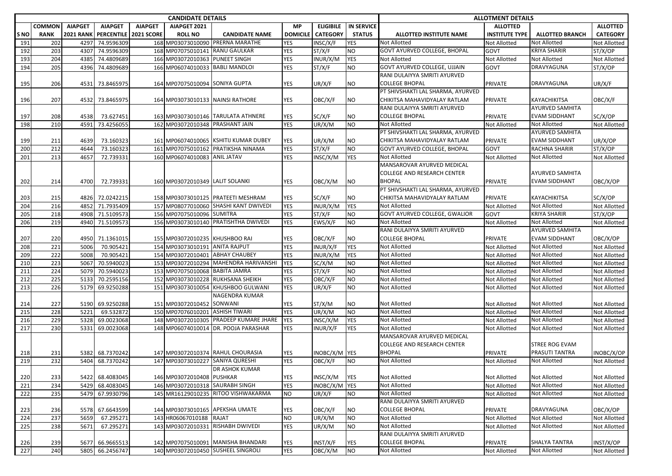| <b>CANDIDATE DETAILS</b> |               |                  |                   |                   |                                 |                                        |                          |                  |                   | <b>ALLOTMENT DETAILS</b>                            |                       |                        |                     |  |
|--------------------------|---------------|------------------|-------------------|-------------------|---------------------------------|----------------------------------------|--------------------------|------------------|-------------------|-----------------------------------------------------|-----------------------|------------------------|---------------------|--|
|                          | <b>COMMON</b> | <b>AIAPGET</b>   | <b>AIAPGET</b>    | <b>AIAPGET</b>    | AIAPGET 2021                    |                                        | <b>MP</b>                | <b>ELIGIBILE</b> | <b>IN SERVICE</b> |                                                     | <b>ALLOTTED</b>       |                        | <b>ALLOTTED</b>     |  |
| <b>SNO</b>               | <b>RANK</b>   | <b>2021 RANK</b> | <b>PERCENTILE</b> | <b>2021 SCORE</b> | <b>ROLL NO</b>                  | <b>CANDIDATE NAME</b>                  | <b>DOMICILE</b>          | <b>CATEGORY</b>  | <b>STATUS</b>     | ALLOTTED INSTITUTE NAME                             | <b>INSTITUTE TYPE</b> | <b>ALLOTTED BRANCH</b> | <b>CATEGORY</b>     |  |
| 191                      | 202           | 4297             | 74.9596309        |                   |                                 | 168 MP03073010090 PRERNA MARATHE       | <b>YES</b>               | INSC/X/F         | YES               | <b>Not Allotted</b>                                 | <b>Not Allotted</b>   | Not Allotted           | <b>Not Allotted</b> |  |
| 192                      | 203           | 4307             | 74.9596309        |                   | 168 MP07075010141 RANU GAULKAR  |                                        | <b>YES</b>               | ST/X/F           | NO.               | <b>GOVT AYURVED COLLEGE, BHOPAL</b>                 | <b>GOVT</b>           | <b>KRIYA SHARIR</b>    | ST/X/OP             |  |
| 193                      | 204           | 4385             | 74.4809689        |                   | 166 MP03072010363 PUNEET SINGH  |                                        | YES                      | INUR/X/M         | <b>YES</b>        | <b>Not Allotted</b>                                 | Not Allotted          | Not Allotted           | <b>Not Allotted</b> |  |
| 194                      | 205           | 4396             | 74.4809689        |                   | 166 MP06074010033 BABLI MANDLOI |                                        | <b>YES</b>               | ST/X/F           | NO.               | <b>GOVT AYURVED COLLEGE, UJJAIN</b>                 | GOVT                  | DRAVYAGUNA             | ST/X/OP             |  |
|                          |               |                  |                   |                   |                                 |                                        |                          |                  |                   | RANI DULAIYYA SMRITI AYURVED                        |                       |                        |                     |  |
| 195                      | 206           | 4531             | 73.8465975        |                   | 164 MP07075010094 SONIYA GUPTA  |                                        | YES                      | UR/X/F           | ΝO                | <b>COLLEGE BHOPAL</b>                               | PRIVATE               | DRAVYAGUNA             | UR/X/F              |  |
|                          |               |                  |                   |                   |                                 |                                        |                          |                  |                   | PT SHIVSHAKTI LAL SHARMA, AYURVED                   |                       |                        |                     |  |
| 196                      | 207           |                  | 4532 73.8465975   |                   |                                 | 164 MP03073010133 NAINSI RATHORE       | <b>YES</b>               | OBC/X/F          | NO.               | CHIKITSA MAHAVIDYALAY RATLAM                        | <b>PRIVATE</b>        | KAYACHIKITSA           | OBC/X/F             |  |
|                          |               |                  |                   |                   |                                 |                                        |                          |                  |                   | RANI DULAIYYA SMRITI AYURVED                        |                       | <b>AYURVED SAMHITA</b> |                     |  |
| 197                      | 208           | 4538             | 73.627451         |                   |                                 | 163 MP03073010146 TARULATA ATHNERE     | YES                      | SC/X/F           | ΝO                | <b>COLLEGE BHOPAL</b>                               | PRIVATE               | <b>EVAM SIDDHANT</b>   | SC/X/OP             |  |
| 198                      | 210           | 4591             | 73.4256055        |                   | 162 MP03072010348 PRASHANT JAIN |                                        | <b>YES</b>               | UR/X/M           | NO.               | <b>Not Allotted</b>                                 | <b>Not Allotted</b>   | <b>Not Allotted</b>    | Not Allotted        |  |
|                          |               |                  |                   |                   |                                 |                                        |                          |                  |                   | PT SHIVSHAKTI LAL SHARMA, AYURVED                   |                       | <b>AYURVED SAMHITA</b> |                     |  |
| 199                      | 211           | 4639             | 73.160323         |                   |                                 | 161 MP06074010065 KSHITIJ KUMAR DUBEY  | <b>YES</b>               | UR/X/M           | NO.               | CHIKITSA MAHAVIDYALAY RATLAM                        | PRIVATE               | <b>EVAM SIDDHANT</b>   | UR/X/OP             |  |
| 200                      | 212           | 4644             | 73.160323         |                   |                                 | 161 MP07075010162 PRATIKSHA NINAMA     | YES                      | ST/X/F           | NO.               | GOVT AYURVED COLLEGE, BHOPAL                        | GOVT                  | <b>RACHNA SHARIR</b>   | ST/X/OP             |  |
| 201                      | 213           | 4657             | 72.739331         |                   | 160 MP06074010083 ANIL JATAV    |                                        | YES                      | INSC/X/M         | <b>YES</b>        | <b>Not Allotted</b><br>MANSAROVAR AYURVED MEDICAL   | Not Allotted          | <b>Not Allotted</b>    | <b>Not Allotted</b> |  |
|                          |               |                  |                   |                   |                                 |                                        |                          |                  |                   | <b>COLLEGE AND RESEARCH CENTER</b>                  |                       | AYURVED SAMHITA        |                     |  |
| 202                      | 214           | 4700             | 72.739331         |                   | 160 MP03072010349 LALIT SOLANKI |                                        | <b>YES</b>               | OBC/X/M          | NO.               | <b>BHOPAL</b>                                       | <b>PRIVATE</b>        | <b>EVAM SIDDHANT</b>   | OBC/X/OP            |  |
|                          |               |                  |                   |                   |                                 |                                        |                          |                  |                   | PT SHIVSHAKTI LAL SHARMA, AYURVED                   |                       |                        |                     |  |
| 203                      | 215           |                  | 4826 72.0242215   |                   |                                 | 158 MP03073010125 PRATEETI MESHRAM     | YES                      | SC/X/F           | NO.               | CHIKITSA MAHAVIDYALAY RATLAM                        | PRIVATE               | KAYACHIKITSA           | SC/X/OP             |  |
| 204                      | 216           | 4852             | 71.7935409        |                   |                                 | 157 MP08077010060 SHASHI KANT DWIVEDI  | <b>YES</b>               | INUR/X/M         | <b>YES</b>        | <b>Not Allotted</b>                                 | <b>Not Allotted</b>   | <b>Not Allotted</b>    | Not Allotted        |  |
| 205                      | 218           | 4908             | 71.5109573        |                   | 156 MP07075010096 SUMITRA       |                                        | YES                      | ST/X/F           | NO.               | GOVT AYURVED COLLEGE, GWALIOR                       | <b>GOVT</b>           | <b>KRIYA SHARIR</b>    | ST/X/OP             |  |
| 206                      | 219           |                  | 4940 71.5109573   |                   |                                 | 156 MP03073010140 PRATISHTHA DWIVEDI   | YES                      | EWS/X/F          | NO.               | <b>Not Allotted</b>                                 | Not Allotted          | Not Allotted           | Not Allotted        |  |
|                          |               |                  |                   |                   |                                 |                                        |                          |                  |                   | RANI DULAIYYA SMRITI AYURVED                        |                       | AYURVED SAMHITA        |                     |  |
| 207                      | 220           |                  | 4950 71.1361015   |                   | 155 MP03072010235 KHUSHBOO RAI  |                                        | YES                      | OBC/X/F          | NO                | <b>COLLEGE BHOPAL</b>                               | PRIVATE               | <b>EVAM SIDDHANT</b>   | OBC/X/OP            |  |
| 208                      | 221           | 5006             | 70.905421         |                   | 154 MP03073010191 ANITA RAJPUT  |                                        | <b>YES</b>               | INUR/X/F         | <b>YES</b>        | <b>Not Allotted</b>                                 | <b>Not Allotted</b>   | <b>Not Allotted</b>    | Not Allotted        |  |
| 209                      | 222           | 5008             | 70.905421         |                   | 154 MP03072010401 ABHAY CHAUBEY |                                        | YES                      | INUR/X/M         | <b>YES</b>        | Not Allotted                                        | Not Allotted          | Not Allotted           | <b>Not Allotted</b> |  |
| 210                      | 223           | 5067             | 70.5940023        |                   |                                 | 153 MP03072010294 MAHENDRA HARIVANSHI  | <b>YES</b>               | SC/X/M           | NO.               | Not Allotted                                        | Not Allotted          | <b>Not Allotted</b>    | Not Allotted        |  |
| 211                      | 224           | 5079             | 70.5940023        |                   | 153 MP07075010068 BABITA JAMRA  |                                        | YES                      | ST/X/F           | NO                | <b>Not Allotted</b>                                 | <b>Not Allotted</b>   | <b>Not Allotted</b>    | <b>Not Allotted</b> |  |
| 212                      | 225           | 5133             | 70.2595156        |                   |                                 | 152 MP03073010228 RUKHSANA SHEIKH      | YES                      | OBC/X/F          | NO                | <b>Not Allotted</b>                                 | <b>Not Allotted</b>   | <b>Not Allotted</b>    | <b>Not Allotted</b> |  |
| 213                      | 226           | 5179             | 69.9250288        |                   |                                 | 151 MP03073010054 KHUSHBOO GULWANI     | YES                      | UR/X/F           | NO.               | <b>Not Allotted</b>                                 | Not Allotted          | Not Allotted           | <b>Not Allotted</b> |  |
|                          |               |                  |                   |                   |                                 | NAGENDRA KUMAR                         |                          |                  |                   |                                                     |                       |                        |                     |  |
| 214                      | 227           | 5190             | 69.9250288        |                   | 151 MP03072010452               | SONWANI                                | <b>YES</b>               | ST/X/M           | NO.               | <b>Not Allotted</b>                                 | Not Allotted          | <b>Not Allotted</b>    | <b>Not Allotted</b> |  |
| 215                      | 228           | 5221             | 69.532872         |                   | 150 MP07076010201 ASHISH TIWARI |                                        | <b>YES</b>               | UR/X/M           | NO                | Not Allotted                                        | <b>Not Allotted</b>   | Not Allotted           | Not Allotted        |  |
| 216                      | 229           | 5328             | 69.0023068        |                   |                                 | 148 MP03072010305 PRADEEP KUMARE JHARE | <b>YES</b>               | INSC/X/M         | <b>YES</b>        | <b>Not Allotted</b>                                 | <b>Not Allotted</b>   | <b>Not Allotted</b>    | <b>Not Allotted</b> |  |
| 217                      | 230           | 5331             | 69.0023068        |                   |                                 | 148 MP06074010014 DR. POOJA PARASHAR   | <b>YES</b>               | INUR/X/F         | <b>YES</b>        | <b>Not Allotted</b>                                 | Not Allotted          | <b>Not Allotted</b>    | <b>Not Allotted</b> |  |
|                          |               |                  |                   |                   |                                 |                                        |                          |                  |                   | MANSAROVAR AYURVED MEDICAL                          |                       |                        |                     |  |
|                          |               |                  |                   |                   |                                 |                                        |                          |                  |                   | <b>COLLEGE AND RESEARCH CENTER</b>                  |                       | STREE ROG EVAM         |                     |  |
| 218                      | 231           | 5382             | 68.7370242        |                   |                                 | 147 MP03072010374 RAHUL CHOURASIA      | <b>YES</b>               | INOBC/X/M YES    |                   | <b>BHOPAL</b>                                       | PRIVATE               | PRASUTI TANTRA         | INOBC/X/OP          |  |
| 219                      | 232           | 5404             | 68.7370242        |                   | 147 MP03073010227               | <b>SANIYA QURESHI</b>                  | <b>YES</b>               | OBC/X/F          | NO.               | Not Allotted                                        | <b>Not Allotted</b>   | <b>Not Allotted</b>    | <b>Not Allotted</b> |  |
|                          |               |                  |                   |                   |                                 | <b>DR ASHOK KUMAR</b>                  |                          |                  |                   |                                                     |                       |                        |                     |  |
| 220                      | 233           |                  | 5422 68.4083045   |                   | 146 MP03072010408 PUSHKAR       |                                        | <b>YES</b>               | INSC/X/M         | <b>YES</b>        | <b>Not Allotted</b>                                 | <b>Not Allotted</b>   | <b>Not Allotted</b>    | Not Allotted        |  |
| 221                      | 234           | 5429             | 68.4083045        |                   | 146 MP03072010318 SAURABH SINGH |                                        | <b>YES</b>               | INOBC/X/M YES    |                   | Not Allotted                                        | Not Allotted          | Not Allotted           | Not Allotted        |  |
| 222                      | 235           | 5479             | 67.9930796        |                   |                                 | 145 MR16129010235 RITOO VISHWAKARMA    | <b>NO</b>                | UR/X/F           | ΝO                | Not Allotted                                        | <b>Not Allotted</b>   | Not Allotted           | Not Allotted        |  |
|                          |               |                  |                   |                   |                                 |                                        |                          |                  |                   | RANI DULAIYYA SMRITI AYURVED                        |                       |                        |                     |  |
| 223                      | 236           | 5578             | 67.6643599        |                   |                                 | 144 MP03073010165 APEKSHA UMATE        | YES                      | OBC/X/F          | ΝO                | <b>COLLEGE BHOPAL</b>                               | PRIVATE               | DRAVYAGUNA             | OBC/X/OP            |  |
| 224                      | 237           | 5659             | 67.295271         |                   | 143 HR06067010188 RAJAT         |                                        | <b>NO</b>                | UR/X/M           | NO                | Not Allotted                                        | <b>Not Allotted</b>   | <b>Not Allotted</b>    | <b>Not Allotted</b> |  |
| 225                      | 238           | 5671             | 67.295271         |                   |                                 | 143 MP03072010331 RISHABH DWIVEDI      | <b>YES</b>               | UR/X/M           | ΝO                | <b>Not Allotted</b><br>RANI DULAIYYA SMRITI AYURVED | Not Allotted          | Not Allotted           | Not Allotted        |  |
|                          |               |                  |                   |                   |                                 | 142 MP07075010091 MANISHA BHANDARI     |                          |                  |                   | <b>COLLEGE BHOPAL</b>                               |                       | SHALYA TANTRA          |                     |  |
| 226<br>227               | 239<br>240    |                  | 5677 66.9665513   |                   |                                 | 140 MP03072010450 SUSHEEL SINGROLI     | <b>YES</b><br><b>YES</b> | INST/X/F         | YES<br><b>NO</b>  | Not Allotted                                        | PRIVATE               | Not Allotted           | INST/X/OP           |  |
|                          |               |                  | 5805 66.2456747   |                   |                                 |                                        |                          | OBC/X/M          |                   |                                                     | Not Allotted          |                        | Not Allotted        |  |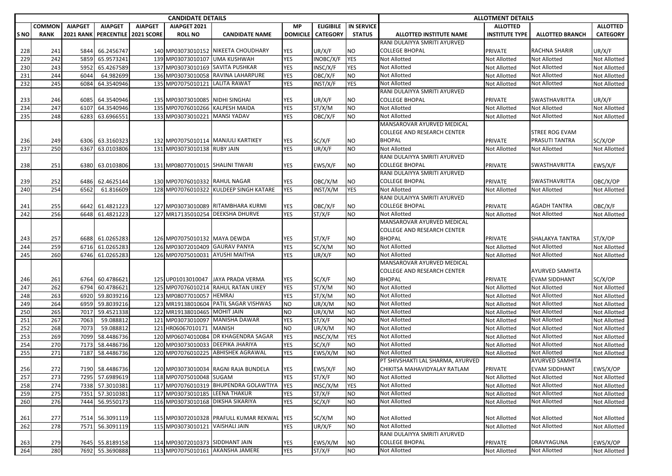|                 |             |                  |                          |                   | <b>CANDIDATE DETAILS</b>         |                                            |            |                  |                   | <b>ALLOTMENT DETAILS</b>                            |                                     |                              |                              |  |
|-----------------|-------------|------------------|--------------------------|-------------------|----------------------------------|--------------------------------------------|------------|------------------|-------------------|-----------------------------------------------------|-------------------------------------|------------------------------|------------------------------|--|
|                 | COMMON      | <b>AIAPGET</b>   | <b>AIAPGET</b>           | <b>AIAPGET</b>    | AIAPGET 2021                     |                                            | <b>MP</b>  | <b>ELIGIBILE</b> | <b>IN SERVICE</b> |                                                     | <b>ALLOTTED</b>                     |                              | <b>ALLOTTED</b>              |  |
| S <sub>NO</sub> | <b>RANK</b> | <b>2021 RANK</b> | <b>PERCENTILE</b>        | <b>2021 SCORE</b> | <b>ROLL NO</b>                   | <b>CANDIDATE NAME</b>                      | DOMICILE   | <b>CATEGORY</b>  | <b>STATUS</b>     | ALLOTTED INSTITUTE NAME                             | <b>INSTITUTE TYPE</b>               | <b>ALLOTTED BRANCH</b>       | <b>CATEGORY</b>              |  |
|                 |             |                  |                          |                   |                                  |                                            |            |                  |                   | RANI DULAIYYA SMRITI AYURVED                        |                                     |                              |                              |  |
| 228             | 241         | 5844             | 66.2456747               |                   |                                  | 140 MP03073010152 NIKEETA CHOUDHARY        | YES        | UR/X/F           | NO.               | <b>COLLEGE BHOPAL</b>                               | PRIVATE                             | <b>RACHNA SHARIR</b>         | UR/X/F                       |  |
| 229             | 242         | 5859             | 65.9573241               |                   | 139 MP03073010107 UMA KUSHWAH    |                                            | YES        | INOBC/X/F        | <b>YES</b>        | Not Allotted                                        | <b>Not Allotted</b>                 | Not Allotted                 | Not Allotted                 |  |
| 230             | 243         | 5952             | 65.4267589               |                   |                                  | 137 MP03073010169 SAVITA PUSHKAR           | YES        | INSC/X/F         | YES               | Not Allotted                                        | <b>Not Allotted</b>                 | Not Allotted                 | Not Allotted                 |  |
| 231             | 244         | 6044             | 64.982699                |                   |                                  | 136 MP03073010058 RAVINA LAHARPURE         | YES        | OBC/X/F          | NO                | Not Allotted                                        | Not Allotted                        | Not Allotted                 | Not Allotted                 |  |
| 232             | 245         | 6084             | 64.3540946               |                   | 135 MP07075010121 LALITA RAWAT   |                                            | YES        | INST/X/F         | <b>YES</b>        | Not Allotted                                        | <b>Not Allotted</b>                 | Not Allotted                 | Not Allotted                 |  |
|                 |             |                  |                          |                   |                                  |                                            |            |                  |                   | RANI DULAIYYA SMRITI AYURVED                        |                                     |                              |                              |  |
| 233             | 246         | 6085             | 64.3540946               |                   | 135 MP03073010085 NIDHI SINGHAI  |                                            | YES        | UR/X/F           | NO.               | <b>COLLEGE BHOPAL</b>                               | PRIVATE                             | SWASTHAVRITTA                | UR/X/F                       |  |
| 234             | 247         | 6107             | 64.3540946               |                   | 135 MP07076010266 KALPESH MAIDA  |                                            | YES        | ST/X/M           | NO                | Not Allotted                                        | <b>Not Allotted</b>                 | Not Allotted                 | Not Allotted                 |  |
| 235             | 248         | 6283             | 63.6966551               |                   | 133 MP03073010221 MANSI YADAV    |                                            | YES        | OBC/X/F          | NO                | Not Allotted                                        | <b>Not Allotted</b>                 | Not Allotted                 | Not Allotted                 |  |
|                 |             |                  |                          |                   |                                  |                                            |            |                  |                   | MANSAROVAR AYURVED MEDICAL                          |                                     |                              |                              |  |
|                 |             |                  |                          |                   |                                  |                                            |            |                  |                   | <b>COLLEGE AND RESEARCH CENTER</b>                  |                                     | STREE ROG EVAM               |                              |  |
| 236             | 249         | 6306             | 63.3160323               |                   |                                  | 132 MP07075010114 MANJULI KARTIKEY         | YES        | SC/X/F           | ΝO                | <b>BHOPAL</b>                                       | PRIVATE                             | PRASUTI TANTRA               | SC/X/OP                      |  |
| 237             | 250         | 6367             | 63.0103806               |                   | 131 MP03073010138 RUBY JAIN      |                                            | YES        | UR/X/F           | NO.               | Not Allotted                                        | <b>Not Allotted</b>                 | Not Allotted                 | Not Allotted                 |  |
|                 |             |                  |                          |                   |                                  |                                            |            |                  |                   | RANI DULAIYYA SMRITI AYURVED                        |                                     |                              |                              |  |
| 238             | 251         |                  | 6380 63.0103806          |                   | 131 MP08077010015 SHALINI TIWARI |                                            | YES        | EWS/X/F          | ΝO                | <b>COLLEGE BHOPAL</b>                               | PRIVATE                             | <b>SWASTHAVRITTA</b>         | EWS/X/F                      |  |
|                 |             |                  |                          |                   |                                  |                                            |            |                  |                   | RANI DULAIYYA SMRITI AYURVED                        |                                     |                              |                              |  |
| 239             | 252         |                  | 6486 62.4625144          |                   | 130 MP07076010332 RAHUL NAGAR    |                                            | YES        | OBC/X/M          | ΝO                | <b>COLLEGE BHOPAL</b>                               | PRIVATE                             | SWASTHAVRITTA                | OBC/X/OP                     |  |
| 240             | 254         | 6562             | 61.816609                |                   |                                  | 128 MP07076010322 KULDEEP SINGH KATARE     | YES        | INST/X/M         | <b>YES</b>        | Not Allotted                                        | <b>Not Allotted</b>                 | Not Allotted                 | Not Allotted                 |  |
|                 |             |                  |                          |                   |                                  |                                            |            |                  |                   | RANI DULAIYYA SMRITI AYURVED                        |                                     |                              |                              |  |
| 241             | 255         | 6642             | 61.4821223               |                   |                                  | 127 MP03073010089 RITAMBHARA KURMI         | YES        | OBC/X/F          | ΝO                | <b>COLLEGE BHOPAL</b>                               | <b>PRIVATE</b>                      | AGADH TANTRA                 | OBC/X/F                      |  |
| 242             | 256         | 6648             | 61.4821223               |                   |                                  | 127 MR17135010254 DEEKSHA DHURVE           | <b>YES</b> | ST/X/F           | NO                | <b>Not Allotted</b>                                 | <b>Not Allotted</b>                 | Not Allotted                 | Not Allotted                 |  |
|                 |             |                  |                          |                   |                                  |                                            |            |                  |                   | MANSAROVAR AYURVED MEDICAL                          |                                     |                              |                              |  |
|                 |             |                  |                          |                   |                                  |                                            |            |                  |                   | <b>COLLEGE AND RESEARCH CENTER</b>                  |                                     |                              |                              |  |
| 243             | 257         |                  | 6688 61.0265283          |                   | 126 MP07075010132 MAYA DEWDA     |                                            | YES        | ST/X/F           | NO.               | <b>BHOPAL</b>                                       | PRIVATE                             | SHALAKYA TANTRA              | ST/X/OP                      |  |
| 244             | 259         | 6716             | 61.0265283               |                   | 126 MP03072010409 GAURAV PANYA   |                                            | YES        | SC/X/M           | NO                | Not Allotted                                        | <b>Not Allotted</b>                 | Not Allotted                 | Not Allotted                 |  |
| 245             | 260         | 6746             | 61.0265283               |                   | 126 MP07075010031 AYUSHI MAITHA  |                                            | YES        | UR/X/F           | NO                | Not Allotted                                        | <b>Not Allotted</b>                 | Not Allotted                 | Not Allotted                 |  |
|                 |             |                  |                          |                   |                                  |                                            |            |                  |                   | MANSAROVAR AYURVED MEDICAL                          |                                     |                              |                              |  |
|                 |             |                  |                          |                   |                                  |                                            |            |                  |                   | <b>COLLEGE AND RESEARCH CENTER</b><br><b>BHOPAL</b> |                                     | AYURVED SAMHITA              |                              |  |
| 246<br>247      | 261<br>262  |                  | 6764 60.4786621          |                   |                                  | 125 UP01013010047 JAYA PRADA VERMA         | YES        | SC/X/F<br>ST/X/M | ΝO<br>NO          |                                                     | <b>PRIVATE</b>                      | <b>EVAM SIDDHANT</b>         | SC/X/OP                      |  |
| 248             | 263         | 6794<br>6920     | 60.4786621<br>59.8039216 |                   | 123 MP08077010057 HEMRAJ         | 125 MP07076010214 RAHUL RATAN UIKEY        | YES<br>YES | ST/X/M           | NO                | Not Allotted<br>Not Allotted                        | <b>Not Allotted</b>                 | Not Allotted<br>Not Allotted | Not Allotted                 |  |
|                 | 264         | 6959             | 59.8039216               |                   |                                  | 123 MR19138010604 PATIL SAGAR VISHWAS      | <b>NO</b>  | UR/X/M           | NO                | Not Allotted                                        | Not Allotted                        | Not Allotted                 | Not Allotted                 |  |
| 249<br>250      | 265         | 7017             | 59.4521338               |                   | 122 MR19138010465 MOHIT JAIN     |                                            | NO.        | UR/X/M           | ΝO                | Not Allotted                                        | <b>Not Allotted</b><br>Not Allotted | Not Allotted                 | Not Allotted<br>Not Allotted |  |
| 251             | 267         | 7063             | 59.088812                |                   |                                  | 121 MP03073010097 MANISHA DAWAR            | YES        | ST/X/F           | NO                | Not Allotted                                        | Not Allotted                        | Not Allotted                 | Not Allotted                 |  |
| 252             | 268         | 7073             | 59.088812                |                   | 121 HR06067010171                | <b>MANISH</b>                              | NO.        | UR/X/M           | NO                | Not Allotted                                        | <b>Not Allotted</b>                 | <b>Not Allotted</b>          | Not Allotted                 |  |
| 253             | 269         | 7099             | 58.4486736               |                   |                                  | 120 MP06074010084 DR KHAGENDRA SAGAR       | YES        | INSC/X/M         | <b>YES</b>        | Not Allotted                                        | <b>Not Allotted</b>                 | <b>Not Allotted</b>          | Not Allotted                 |  |
| 254             | 270         | 7173             | 58.4486736               |                   |                                  | 120 MP03073010033 DEEPIKA JHARIYA          | YES        | SC/X/F           | NO                | Not Allotted                                        | Not Allotted                        | Not Allotted                 | Not Allotted                 |  |
| 255             | 271         | 7187             | 58.4486736               |                   |                                  | 120 MP07076010225 ABHISHEK AGRAWAL         | YES        | EWS/X/M          | NO.               | <b>Not Allotted</b>                                 | <b>Not Allotted</b>                 | <b>Not Allotted</b>          | Not Allotted                 |  |
|                 |             |                  |                          |                   |                                  |                                            |            |                  |                   | PT SHIVSHAKTI LAL SHARMA, AYURVED                   |                                     | AYURVED SAMHITA              |                              |  |
| 256             | 272         |                  | 7190 58.4486736          |                   |                                  | 120 MP03073010034 RAGNI RAJA BUNDELA       | <b>YES</b> | EWS/X/F          | NO.               | CHIKITSA MAHAVIDYALAY RATLAM                        | <b>PRIVATE</b>                      | <b>EVAM SIDDHANT</b>         | EWS/X/OP                     |  |
| 257             | 273         |                  | 7295 57.6989619          |                   | 118 MP07075010048 SUGAM          |                                            | <b>YES</b> | ST/X/F           | NO                | Not Allotted                                        | <b>Not Allotted</b>                 | <b>Not Allotted</b>          | Not Allotted                 |  |
| 258             | 274         |                  | 7338 57.3010381          |                   |                                  | 117 MP07076010319 BHUPENDRA GOLAWTIYA      | <b>YES</b> | INSC/X/M         | <b>YES</b>        | Not Allotted                                        | <b>Not Allotted</b>                 | Not Allotted                 | Not Allotted                 |  |
| 259             | 275         | 7351             | 57.3010381               |                   | 117 MP03073010185 LEENA THAKUR   |                                            | YES        | ST/X/F           | NO                | Not Allotted                                        | <b>Not Allotted</b>                 | Not Allotted                 | Not Allotted                 |  |
| 260             | 276         | 7444             | 56.9550173               |                   |                                  | 116 MP03073010168 DIKSHA SIKARIYA          | YES        | SC/X/F           | NO                | Not Allotted                                        | Not Allotted                        | Not Allotted                 | Not Allotted                 |  |
|                 |             |                  |                          |                   |                                  |                                            |            |                  |                   |                                                     |                                     |                              |                              |  |
| 261             | 277         |                  | 7514 56.3091119          |                   |                                  | 115 MP03072010328 PRAFULL KUMAR REKWAL YES |            | SC/X/M           | NO                | Not Allotted                                        | Not Allotted                        | Not Allotted                 | Not Allotted                 |  |
| 262             | 278         | 7571             | 56.3091119               |                   | 115 MP03073010121 VAISHALI JAIN  |                                            | <b>YES</b> | UR/X/F           | NO                | Not Allotted                                        | <b>Not Allotted</b>                 | Not Allotted                 | Not Allotted                 |  |
|                 |             |                  |                          |                   |                                  |                                            |            |                  |                   | RANI DULAIYYA SMRITI AYURVED                        |                                     |                              |                              |  |
| 263             | 279         |                  | 7645 55.8189158          |                   | 114 MP03072010373 SIDDHANT JAIN  |                                            | YES        | EWS/X/M          | ΝO                | <b>COLLEGE BHOPAL</b>                               | PRIVATE                             | DRAVYAGUNA                   | EWS/X/OP                     |  |
| 264             | 280         |                  | 7692 55.3690888          |                   |                                  | 113 MP07075010161 AKANSHA JAMERE           | <b>YES</b> | ST/X/F           | NO                | Not Allotted                                        | Not Allotted                        | Not Allotted                 | Not Allotted                 |  |